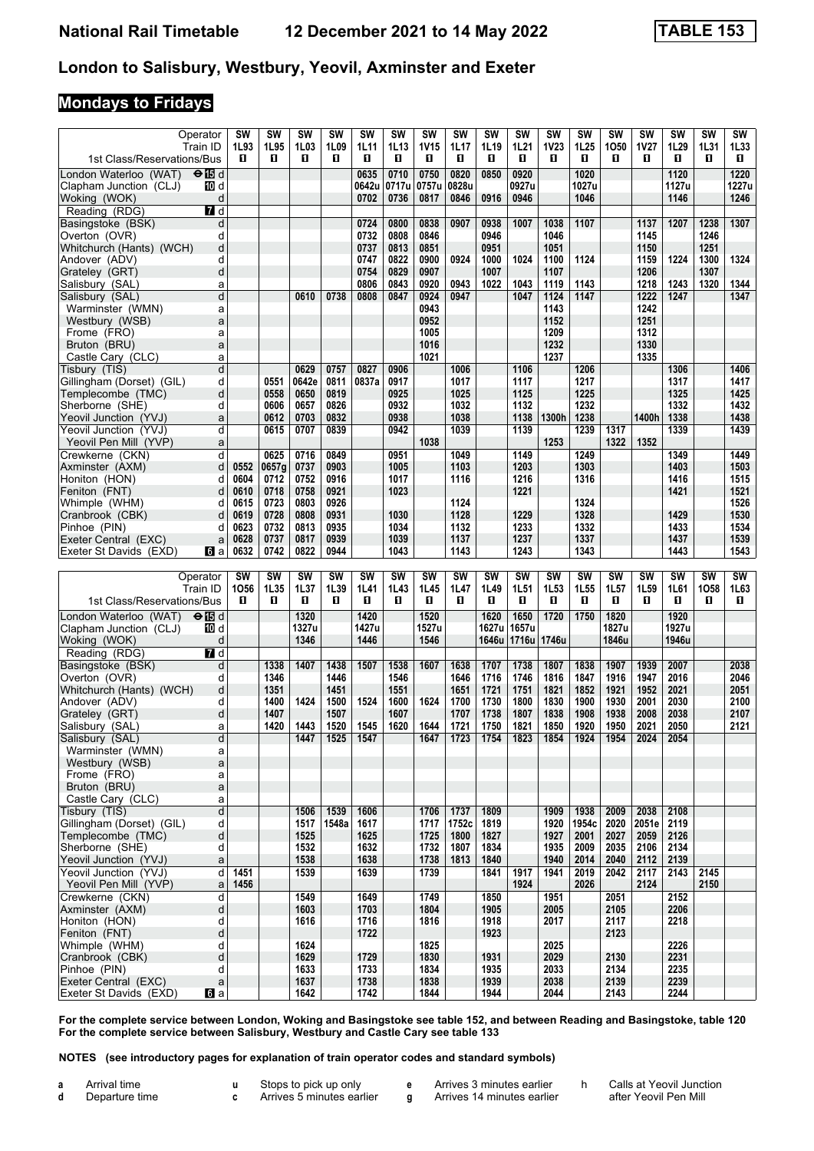# **Mondays to Fridays**

| Operator<br>Train ID<br>1st Class/Reservations/Bus | <b>SW</b><br>1L93<br>п | SW<br>1L95<br>0 | <b>SW</b><br>1L03<br>O | <b>SW</b><br>1L09<br>O | SW<br>1L11<br>П | <b>SW</b><br>1L13<br>O | SW<br><b>1V15</b><br>О | SW<br>1L17<br>П | <b>SW</b><br>1L19<br>O | SW<br>1L21<br>п   | SW<br><b>1V23</b><br>п | <b>SW</b><br>1L <sub>25</sub><br>O | SW<br>1050<br>п   | SW<br>1V27<br>O   | SW<br>1L29<br>O   | SW<br>1L31<br>п   | SW<br>1L33<br>0   |
|----------------------------------------------------|------------------------|-----------------|------------------------|------------------------|-----------------|------------------------|------------------------|-----------------|------------------------|-------------------|------------------------|------------------------------------|-------------------|-------------------|-------------------|-------------------|-------------------|
| London Waterloo (WAT)<br>enBd                      |                        |                 |                        |                        | 0635            | 0710                   | 0750                   | 0820            | 0850                   | 0920              |                        | 1020                               |                   |                   | 1120              |                   | 1220              |
| Clapham Junction (CLJ)<br>10 d                     |                        |                 |                        |                        | 0642u           | 0717u                  | 0757u                  | 0828u           |                        | 0927u             |                        | 1027u                              |                   |                   | 1127u             |                   | 1227u             |
| d<br>Woking (WOK)                                  |                        |                 |                        |                        | 0702            | 0736                   | 0817                   | 0846            | 0916                   | 0946              |                        | 1046                               |                   |                   | 1146              |                   | 1246              |
| Reading (RDG)<br>7 d                               |                        |                 |                        |                        |                 |                        |                        |                 |                        |                   |                        |                                    |                   |                   |                   |                   |                   |
| Basingstoke (BSK)<br>d<br>d<br>Overton (OVR)       |                        |                 |                        |                        | 0724<br>0732    | 0800<br>0808           | 0838<br>0846           | 0907            | 0938<br>0946           | 1007              | 1038<br>1046           | 1107                               |                   | 1137<br>1145      | 1207              | 1238<br>1246      | 1307              |
| d<br>Whitchurch (Hants) (WCH)                      |                        |                 |                        |                        | 0737            | 0813                   | 0851                   |                 | 0951                   |                   | 1051                   |                                    |                   | 1150              |                   | 1251              |                   |
| d<br>Andover (ADV)                                 |                        |                 |                        |                        | 0747            | 0822                   | 0900                   | 0924            | 1000                   | 1024              | 1100                   | 1124                               |                   | 1159              | 1224              | 1300              | 1324              |
| d<br>Grateley (GRT)                                |                        |                 |                        |                        | 0754            | 0829                   | 0907                   |                 | 1007                   |                   | 1107                   |                                    |                   | 1206              |                   | 1307              |                   |
| Salisbury (SAL)<br>a                               |                        |                 |                        |                        | 0806            | 0843                   | 0920                   | 0943            | 1022                   | 1043              | 1119                   | 1143                               |                   | 1218              | 1243              | 1320              | 1344              |
| d<br>Salisbury (SAL)                               |                        |                 | 0610                   | 0738                   | 0808            | 0847                   | 0924                   | 0947            |                        | 1047              | 1124                   | 1147                               |                   | 1222              | 1247              |                   | 1347              |
| Warminster (WMN)<br>a                              |                        |                 |                        |                        |                 |                        | 0943                   |                 |                        |                   | 1143                   |                                    |                   | 1242              |                   |                   |                   |
| Westbury (WSB)<br>a                                |                        |                 |                        |                        |                 |                        | 0952                   |                 |                        |                   | 1152                   |                                    |                   | 1251              |                   |                   |                   |
| Frome (FRO)<br>a                                   |                        |                 |                        |                        |                 |                        | 1005                   |                 |                        |                   | 1209<br>1232           |                                    |                   | 1312              |                   |                   |                   |
| Bruton (BRU)<br>a<br>Castle Cary (CLC)<br>a        |                        |                 |                        |                        |                 |                        | 1016<br>1021           |                 |                        |                   | 1237                   |                                    |                   | 1330<br>1335      |                   |                   |                   |
| d<br>Tisbury (TIS)                                 |                        |                 | 0629                   | 0757                   | 0827            | 0906                   |                        | 1006            |                        | 1106              |                        | 1206                               |                   |                   | 1306              |                   | 1406              |
| Gillingham (Dorset) (GIL)<br>d                     |                        | 0551            | 0642e                  | 0811                   | 0837a           | 0917                   |                        | 1017            |                        | 1117              |                        | 1217                               |                   |                   | 1317              |                   | 1417              |
| Templecombe (TMC)<br>d                             |                        | 0558            | 0650                   | 0819                   |                 | 0925                   |                        | 1025            |                        | 1125              |                        | 1225                               |                   |                   | 1325              |                   | 1425              |
| Sherborne (SHE)<br>d                               |                        | 0606            | 0657                   | 0826                   |                 | 0932                   |                        | 1032            |                        | 1132              |                        | 1232                               |                   |                   | 1332              |                   | 1432              |
| Yeovil Junction (YVJ)<br>a                         |                        | 0612            | 0703                   | 0832                   |                 | 0938                   |                        | 1038            |                        | 1138              | 1300h                  | 1238                               |                   | 1400h             | 1338              |                   | 1438              |
| Yeovil Junction (YVJ)<br>d                         |                        | 0615            | 0707                   | 0839                   |                 | 0942                   |                        | 1039            |                        | 1139              |                        | 1239                               | 1317              |                   | 1339              |                   | 1439              |
| Yeovil Pen Mill (YVP)<br>a                         |                        |                 |                        |                        |                 |                        | 1038                   |                 |                        |                   | 1253                   |                                    | 1322              | 1352              |                   |                   |                   |
| Crewkerne (CKN)<br>d<br>d                          | 0552                   | 0625<br>0657g   | 0716<br>0737           | 0849<br>0903           |                 | 0951<br>1005           |                        | 1049<br>1103    |                        | 1149<br>1203      |                        | 1249<br>1303                       |                   |                   | 1349<br>1403      |                   | 1449<br>1503      |
| Axminster (AXM)<br>Honiton (HON)<br>d              | 0604                   | 0712            | 0752                   | 0916                   |                 | 1017                   |                        | 1116            |                        | 1216              |                        | 1316                               |                   |                   | 1416              |                   | 1515              |
| Feniton (FNT)<br>d                                 | 0610                   | 0718            | 0758                   | 0921                   |                 | 1023                   |                        |                 |                        | 1221              |                        |                                    |                   |                   | 1421              |                   | 1521              |
| Whimple (WHM)<br>d                                 | 0615                   | 0723            | 0803                   | 0926                   |                 |                        |                        | 1124            |                        |                   |                        | 1324                               |                   |                   |                   |                   | 1526              |
| d<br>Cranbrook (CBK)                               | 0619                   | 0728            | 0808                   | 0931                   |                 | 1030                   |                        | 1128            |                        | 1229              |                        | 1328                               |                   |                   | 1429              |                   | 1530              |
| Pinhoe (PIN)<br>d                                  | 0623                   | 0732            | 0813                   | 0935                   |                 | 1034                   |                        | 1132            |                        | 1233              |                        | 1332                               |                   |                   | 1433              |                   | 1534              |
| Exeter Central (EXC)<br>a                          | 0628                   | 0737            | 0817                   | 0939                   |                 | 1039                   |                        | 1137            |                        | 1237              |                        | 1337                               |                   |                   | 1437              |                   | 1539              |
| Exeter St Davids (EXD)<br>l6 a                     | 0632                   | 0742            | 0822                   | 0944                   |                 | 1043                   |                        | 1143            |                        | 1243              |                        | 1343                               |                   |                   | 1443              |                   | 1543              |
|                                                    |                        |                 |                        |                        |                 |                        |                        |                 |                        |                   |                        |                                    |                   |                   |                   |                   |                   |
|                                                    |                        |                 |                        |                        |                 |                        |                        |                 |                        |                   |                        |                                    |                   |                   |                   |                   |                   |
| Operator<br>Train ID                               | <b>SW</b><br>1056      | SW<br>1L35      | <b>SW</b><br>1L37      | <b>SW</b><br>1L39      | SW<br>1L41      | <b>SW</b><br>1L43      | <b>SW</b><br>1L45      | SW<br>1L47      | <b>SW</b><br>1L49      | <b>SW</b><br>1L51 | <b>SW</b><br>1L53      | <b>SW</b><br>1L55                  | <b>SW</b><br>1L57 | <b>SW</b><br>1L59 | <b>SW</b><br>1L61 | <b>SW</b><br>1058 | <b>SW</b><br>1L63 |
| 1st Class/Reservations/Bus                         | п                      | 0               | п                      | O                      | п               | п                      | O                      | П               | п                      | п                 | O                      | п                                  | п                 | 0                 | O.                | п                 | 0                 |
| London Waterloo (WAT) $\Theta$ <b>IS</b> d         |                        |                 | 1320                   |                        | 1420            |                        | 1520                   |                 | 1620                   | 1650              | 1720                   | 1750                               | 1820              |                   | 1920              |                   |                   |
| Clapham Junction (CLJ)<br>10 d                     |                        |                 | 1327u                  |                        | 1427u           |                        | 1527u                  |                 | 1627u                  | 1657u             |                        |                                    | 1827u             |                   | 1927u             |                   |                   |
| d<br>Woking (WOK)                                  |                        |                 | 1346                   |                        | 1446            |                        | 1546                   |                 | 1646u                  | 1716u             | 1746u                  |                                    | 1846u             |                   | 1946u             |                   |                   |
| 7d<br>Reading (RDG)                                |                        |                 |                        |                        |                 |                        |                        |                 |                        |                   |                        |                                    |                   |                   |                   |                   |                   |
| Basingstoke (BSK)<br>d                             |                        | 1338            | 1407                   | 1438                   | 1507            | 1538                   | 1607                   | 1638            | 1707                   | 1738              | 1807                   | 1838                               | 1907              | 1939              | 2007              |                   | 2038              |
| Overton (OVR)<br>d                                 |                        | 1346            |                        | 1446                   |                 | 1546                   |                        | 1646            | 1716                   | 1746              | 1816                   | 1847                               | 1916              | 1947              | 2016              |                   | 2046              |
| d<br>Whitchurch (Hants) (WCH)<br>d                 |                        | 1351<br>1400    | 1424                   | 1451<br>1500           | 1524            | 1551<br>1600           | 1624                   | 1651<br>1700    | 1721<br>1730           | 1751<br>1800      | 1821<br>1830           | 1852<br>1900                       | 1921<br>1930      | 1952<br>2001      | 2021<br>2030      |                   | 2051<br>2100      |
| Andover (ADV)<br>d<br>Grateley (GRT)               |                        | 1407            |                        | 1507                   |                 | 1607                   |                        | 1707            | 1738                   | 1807              | 1838                   | 1908                               | 1938              | 2008              | 2038              |                   | 2107              |
| Salisbury (SAL)<br>a                               |                        | 1420            | 1443                   | 1520                   | 1545            | 1620                   | 1644                   | 1721            | 1750                   | 1821              | 1850                   | 1920                               | 1950              | 2021              | 2050              |                   | 2121              |
| Salisbury (SAL)<br>d                               |                        |                 | 1447                   | 1525                   | 1547            |                        | 1647                   | 1723            | 1754                   | 1823              | 1854                   | 1924                               | 1954              | 2024              | 2054              |                   |                   |
| Warminster (WMN)<br>a                              |                        |                 |                        |                        |                 |                        |                        |                 |                        |                   |                        |                                    |                   |                   |                   |                   |                   |
| Westbury (WSB)<br>a                                |                        |                 |                        |                        |                 |                        |                        |                 |                        |                   |                        |                                    |                   |                   |                   |                   |                   |
| Frome (FRO)<br>a                                   |                        |                 |                        |                        |                 |                        |                        |                 |                        |                   |                        |                                    |                   |                   |                   |                   |                   |
| Bruton (BRU)<br>a<br>Castle Cary (CLC)<br>a        |                        |                 |                        |                        |                 |                        |                        |                 |                        |                   |                        |                                    |                   |                   |                   |                   |                   |
| $\overline{\mathsf{d}}$<br>Tisbury (TIS)           |                        |                 | 1506                   | 1539                   | 1606            |                        | 1706                   | 1737            | 1809                   |                   | 1909                   | 1938                               | 2009              | 2038              | 2108              |                   |                   |
| Gillingham (Dorset) (GIL)<br>d                     |                        |                 | 1517                   | 1548a                  | 1617            |                        | 1717                   | 1752c           | 1819                   |                   | 1920                   | 1954c                              | 2020              | 2051e             | 2119              |                   |                   |
| d<br>Templecombe (TMC)                             |                        |                 | 1525                   |                        | 1625            |                        | 1725                   | 1800            | 1827                   |                   | 1927                   | 2001                               | 2027              | 2059              | 2126              |                   |                   |
| d<br>Sherborne (SHE)                               |                        |                 | 1532                   |                        | 1632            |                        | 1732                   | 1807            | 1834                   |                   | 1935                   | 2009                               | 2035              | 2106              | 2134              |                   |                   |
| Yeovil Junction (YVJ)<br>a                         |                        |                 | 1538                   |                        | 1638            |                        | 1738                   | 1813            | 1840                   |                   | 1940                   | 2014                               | 2040              | 2112              | 2139              |                   |                   |
| Yeovil Junction (YVJ)<br>d                         | 1451                   |                 | 1539                   |                        | 1639            |                        | 1739                   |                 | 1841                   | 1917              | 1941                   | 2019                               | 2042              | 2117              | 2143              | 2145              |                   |
| Yeovil Pen Mill (YVP)<br>a                         | 1456                   |                 |                        |                        |                 |                        |                        |                 |                        | 1924              |                        | 2026                               |                   | 2124              |                   | 2150              |                   |
| Crewkerne (CKN)<br>d<br>d<br>Axminster (AXM)       |                        |                 | 1549<br>1603           |                        | 1649<br>1703    |                        | 1749<br>1804           |                 | 1850<br>1905           |                   | 1951<br>2005           |                                    | 2051<br>2105      |                   | 2152<br>2206      |                   |                   |
| d<br>Honiton (HON)                                 |                        |                 | 1616                   |                        | 1716            |                        | 1816                   |                 | 1918                   |                   | 2017                   |                                    | 2117              |                   | 2218              |                   |                   |
| d<br>Feniton (FNT)                                 |                        |                 |                        |                        | 1722            |                        |                        |                 | 1923                   |                   |                        |                                    | 2123              |                   |                   |                   |                   |
| Whimple (WHM)<br>d                                 |                        |                 | 1624                   |                        |                 |                        | 1825                   |                 |                        |                   | 2025                   |                                    |                   |                   | 2226              |                   |                   |
| d<br>Cranbrook (CBK)                               |                        |                 | 1629                   |                        | 1729            |                        | 1830                   |                 | 1931                   |                   | 2029                   |                                    | 2130              |                   | 2231              |                   |                   |
| Pinhoe (PIN)<br>d<br>Exeter Central (EXC)<br>a     |                        |                 | 1633<br>1637           |                        | 1733<br>1738    |                        | 1834<br>1838           |                 | 1935<br>1939           |                   | 2033<br>2038           |                                    | 2134<br>2139      |                   | 2235<br>2239      |                   |                   |

**For the complete service between London, Woking and Basingstoke see table 12, and between Reading and Basingstoke, table 120 For the complete service between Salisbury, Westbury and Castle Cary see table 1**

#### **NOTES (see introductory pages for explanation of train operator codes and standard symbols)**

| Arrival time   | Stops to pick up only     | Arrives 3 minutes earlier  | Calls at |
|----------------|---------------------------|----------------------------|----------|
| Departure time | Arrives 5 minutes earlier | Arrives 14 minutes earlier | after Ye |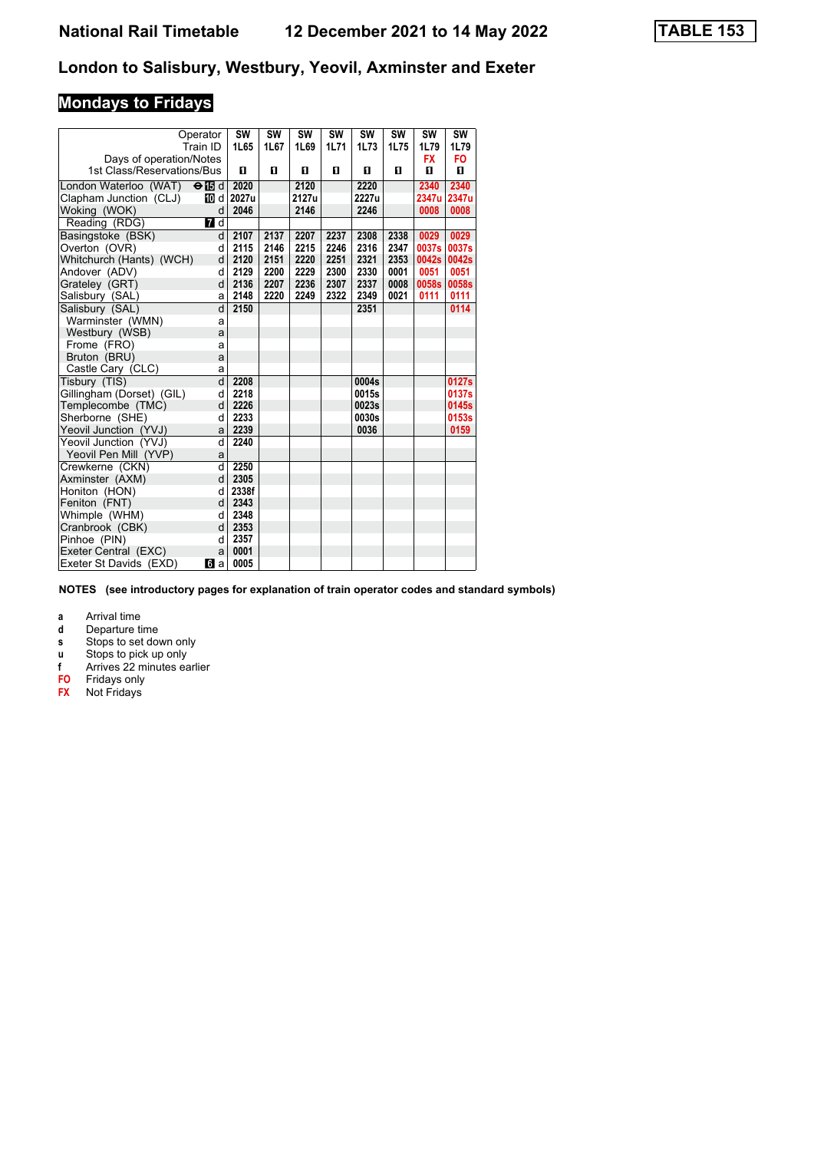# **Mondays to Fridays**

| Operator                   |               | <b>SW</b> | SW   | <b>SW</b> | <b>SW</b> | SW    | <b>SW</b> | <b>SW</b> | <b>SW</b>      |
|----------------------------|---------------|-----------|------|-----------|-----------|-------|-----------|-----------|----------------|
|                            | Train ID      | 1L65      | 1L67 | 1L69      | 1L71      | 1L73  | 1L75      | 1L79      | 1L79           |
| Days of operation/Notes    |               |           |      |           |           |       |           | <b>FX</b> | F <sub>O</sub> |
| 1st Class/Reservations/Bus |               | п         | O    | 0         | O         | п     | 0         | O         | п              |
| London Waterloo (WAT)      | $\Theta$ ibid | 2020      |      | 2120      |           | 2220  |           | 2340      | 2340           |
| Clapham Junction (CLJ)     | 10 d          | 2027u     |      | 2127u     |           | 2227u |           | 2347u     | 2347u          |
| Woking (WOK)               | d             | 2046      |      | 2146      |           | 2246  |           | 0008      | 0008           |
| Reading (RDG)              | 7 d           |           |      |           |           |       |           |           |                |
| Basingstoke (BSK)          | d             | 2107      | 2137 | 2207      | 2237      | 2308  | 2338      | 0029      | 0029           |
| Overton (OVR)              | d             | 2115      | 2146 | 2215      | 2246      | 2316  | 2347      | 0037s     | 0037s          |
| Whitchurch (Hants) (WCH)   | d             | 2120      | 2151 | 2220      | 2251      | 2321  | 2353      | 0042s     | 0042s          |
| Andover (ADV)              | d             | 2129      | 2200 | 2229      | 2300      | 2330  | 0001      | 0051      | 0051           |
| Grateley (GRT)             | d             | 2136      | 2207 | 2236      | 2307      | 2337  | 0008      | 0058s     | 0058s          |
| Salisbury (SAL)            | a             | 2148      | 2220 | 2249      | 2322      | 2349  | 0021      | 0111      | 0111           |
| Salisbury (SAL)            | d             | 2150      |      |           |           | 2351  |           |           | 0114           |
| Warminster (WMN)           | a             |           |      |           |           |       |           |           |                |
| Westbury (WSB)             | a             |           |      |           |           |       |           |           |                |
| Frome (FRO)                | a             |           |      |           |           |       |           |           |                |
| Bruton (BRU)               | a             |           |      |           |           |       |           |           |                |
| Castle Cary (CLC)          | a             |           |      |           |           |       |           |           |                |
| Tisbury (TIS)              | d             | 2208      |      |           |           | 0004s |           |           | 0127s          |
| Gillingham (Dorset) (GIL)  | d             | 2218      |      |           |           | 0015s |           |           | 0137s          |
| Templecombe (TMC)          | d             | 2226      |      |           |           | 0023s |           |           | 0145s          |
| Sherborne (SHE)            | d             | 2233      |      |           |           | 0030s |           |           | 0153s          |
| Yeovil Junction (YVJ)      | a             | 2239      |      |           |           | 0036  |           |           | 0159           |
| Yeovil Junction (YVJ)      | d             | 2240      |      |           |           |       |           |           |                |
| Yeovil Pen Mill (YVP)      | a             |           |      |           |           |       |           |           |                |
| Crewkerne (CKN)            | d             | 2250      |      |           |           |       |           |           |                |
| Axminster (AXM)            | d             | 2305      |      |           |           |       |           |           |                |
| Honiton (HON)              | d             | 2338f     |      |           |           |       |           |           |                |
| Feniton (FNT)              | d             | 2343      |      |           |           |       |           |           |                |
| Whimple (WHM)              | d             | 2348      |      |           |           |       |           |           |                |
| Cranbrook (CBK)            | $\mathbf d$   | 2353      |      |           |           |       |           |           |                |
| Pinhoe (PIN)               | d             | 2357      |      |           |           |       |           |           |                |
| Exeter Central (EXC)       | a             | 0001      |      |           |           |       |           |           |                |
| Exeter St Davids (EXD)     | <b>6</b> а    | 0005      |      |           |           |       |           |           |                |

**NOTES (see introductory pages for explanation of train operator codes and standard symbols)**

**a** Arrival time<br>**d** Departure ti

**d** Departure time

**s** Stops to set down only

**x** Stops to pick up only<br>**f** Arrives 22 minutes ea

Arrives 22 minutes earlier

**F0** Fridays only

**FX** Not Fridays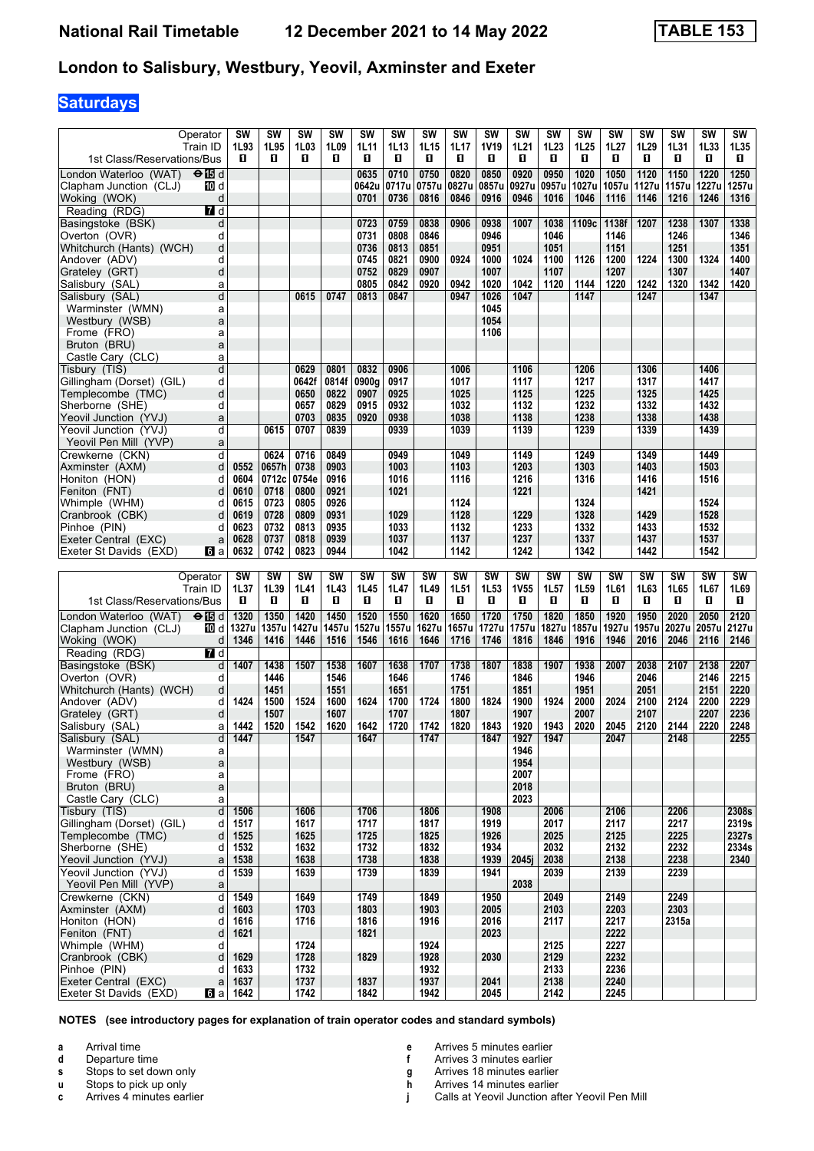## **Saturdays**

| Operator<br>Train ID<br>1st Class/Reservations/Bus | SW<br>1L93<br>п        | <b>SW</b><br>1L95<br>0 | <b>SW</b><br>1L03<br>O | SW<br>1L09<br>O | <b>SW</b><br>1L11<br>O | SW<br>1L13<br>O | SW<br>1L15<br>0 | SW<br>1L17<br>п | <b>SW</b><br>1V19<br>O | SW<br>1L21<br>O | SW<br>1L23<br>O | SW<br>1L25<br>0 | SW<br>1L27<br>O | SW<br>1L29<br>O | SW<br>1L31<br>0 | SW<br>1L33<br>O | SW<br>1L35<br>0 |
|----------------------------------------------------|------------------------|------------------------|------------------------|-----------------|------------------------|-----------------|-----------------|-----------------|------------------------|-----------------|-----------------|-----------------|-----------------|-----------------|-----------------|-----------------|-----------------|
| London Waterloo (WAT)<br>enBd                      |                        |                        |                        |                 | 0635                   | 0710            | 0750            | 0820            | 0850                   | 0920            | 0950            | 1020            | 1050            | 1120            | 1150            | 1220            | 1250            |
| Clapham Junction (CLJ)<br>10 d                     |                        |                        |                        |                 | 0642u                  | 0717u           | 0757u           | 0827u           | 0857u                  | 0927u           | 0957u           | 1027u           | 1057u           | 1127u           | 1157u           | 1227u           | 1257u           |
| Woking (WOK)                                       | d                      |                        |                        |                 | 0701                   | 0736            | 0816            | 0846            | 0916                   | 0946            | 1016            | 1046            | 1116            | 1146            | 1216            | 1246            | 1316            |
| Reading (RDG)<br>$\blacksquare$ d                  |                        |                        |                        |                 |                        |                 |                 |                 |                        |                 |                 |                 |                 |                 |                 |                 |                 |
| Basingstoke (BSK)                                  | d                      |                        |                        |                 | 0723                   | 0759            | 0838            | 0906            | 0938                   | 1007            | 1038            | 1109c           | 1138f           | 1207            | 1238            | 1307            | 1338            |
| Overton (OVR)                                      | d                      |                        |                        |                 | 0731                   | 0808            | 0846            |                 | 0946                   |                 | 1046            |                 | 1146            |                 | 1246            |                 | 1346            |
| Whitchurch (Hants) (WCH)                           | d                      |                        |                        |                 | 0736                   | 0813            | 0851            |                 | 0951                   |                 | 1051            |                 | 1151            |                 | 1251            |                 | 1351            |
| Andover (ADV)                                      | d                      |                        |                        |                 | 0745                   | 0821            | 0900            | 0924            | 1000                   | 1024            | 1100            | 1126            | 1200            | 1224            | 1300            | 1324            | 1400            |
| Grateley (GRT)                                     | d                      |                        |                        |                 | 0752<br>0805           | 0829            | 0907            |                 | 1007                   |                 | 1107            |                 | 1207            |                 | 1307            |                 | 1407            |
| Salisbury (SAL)                                    | a                      |                        | 0615                   | 0747            | 0813                   | 0842<br>0847    | 0920            | 0942            | 1020                   | 1042<br>1047    | 1120            | 1144            | 1220            | 1242<br>1247    | 1320            | 1342<br>1347    | 1420            |
| Salisbury (SAL)                                    | d                      |                        |                        |                 |                        |                 |                 | 0947            | 1026<br>1045           |                 |                 | 1147            |                 |                 |                 |                 |                 |
| Warminster (WMN)<br>Westbury (WSB)                 | a<br>a                 |                        |                        |                 |                        |                 |                 |                 | 1054                   |                 |                 |                 |                 |                 |                 |                 |                 |
| Frome (FRO)                                        | a                      |                        |                        |                 |                        |                 |                 |                 | 1106                   |                 |                 |                 |                 |                 |                 |                 |                 |
| Bruton (BRU)                                       | a                      |                        |                        |                 |                        |                 |                 |                 |                        |                 |                 |                 |                 |                 |                 |                 |                 |
| Castle Cary (CLC)                                  | a                      |                        |                        |                 |                        |                 |                 |                 |                        |                 |                 |                 |                 |                 |                 |                 |                 |
| Tisbury (TIS)                                      | d                      |                        | 0629                   | 0801            | 0832                   | 0906            |                 | 1006            |                        | 1106            |                 | 1206            |                 | 1306            |                 | 1406            |                 |
| Gillingham (Dorset) (GIL)                          | d                      |                        | 0642f                  | 0814f           | 0900g                  | 0917            |                 | 1017            |                        | 1117            |                 | 1217            |                 | 1317            |                 | 1417            |                 |
| Templecombe (TMC)                                  | d                      |                        | 0650                   | 0822            | 0907                   | 0925            |                 | 1025            |                        | 1125            |                 | 1225            |                 | 1325            |                 | 1425            |                 |
| Sherborne (SHE)                                    | d                      |                        | 0657                   | 0829            | 0915                   | 0932            |                 | 1032            |                        | 1132            |                 | 1232            |                 | 1332            |                 | 1432            |                 |
| Yeovil Junction (YVJ)                              | a                      |                        | 0703                   | 0835            | 0920                   | 0938            |                 | 1038            |                        | 1138            |                 | 1238            |                 | 1338            |                 | 1438            |                 |
| Yeovil Junction (YVJ)                              | d                      | 0615                   | 0707                   | 0839            |                        | 0939            |                 | 1039            |                        | 1139            |                 | 1239            |                 | 1339            |                 | 1439            |                 |
| Yeovil Pen Mill (YVP)                              | a                      |                        |                        |                 |                        |                 |                 |                 |                        |                 |                 |                 |                 |                 |                 |                 |                 |
| Crewkerne (CKN)                                    | d                      | 0624                   | 0716                   | 0849            |                        | 0949            |                 | 1049            |                        | 1149            |                 | 1249            |                 | 1349            |                 | 1449            |                 |
| Axminster (AXM)                                    | 0552<br>d              | 0657h                  | 0738                   | 0903            |                        | 1003            |                 | 1103            |                        | 1203            |                 | 1303            |                 | 1403            |                 | 1503            |                 |
| Honiton (HON)                                      | 0604<br>d              | 0712c                  | 0754e                  | 0916            |                        | 1016            |                 | 1116            |                        | 1216            |                 | 1316            |                 | 1416            |                 | 1516            |                 |
| Feniton (FNT)                                      | d<br>0610              | 0718                   | 0800                   | 0921            |                        | 1021            |                 |                 |                        | 1221            |                 |                 |                 | 1421            |                 |                 |                 |
| Whimple (WHM)                                      | 0615<br>d              | 0723                   | 0805                   | 0926            |                        | 1029            |                 | 1124            |                        | 1229            |                 | 1324<br>1328    |                 | 1429            |                 | 1524            |                 |
| Cranbrook (CBK)                                    | d<br>0619<br>0623<br>d | 0728<br>0732           | 0809<br>0813           | 0931<br>0935    |                        | 1033            |                 | 1128<br>1132    |                        | 1233            |                 | 1332            |                 | 1433            |                 | 1528<br>1532    |                 |
| Pinhoe (PIN)<br>Exeter Central (EXC)               | 0628<br>a              | 0737                   | 0818                   | 0939            |                        | 1037            |                 | 1137            |                        | 1237            |                 | 1337            |                 | 1437            |                 | 1537            |                 |
| Exeter St Davids (EXD)<br><b>loi</b> a             | 0632                   | 0742                   | 0823                   | 0944            |                        | 1042            |                 | 1142            |                        | 1242            |                 | 1342            |                 | 1442            |                 | 1542            |                 |
|                                                    |                        |                        |                        |                 |                        |                 |                 |                 |                        |                 |                 |                 |                 |                 |                 |                 |                 |
|                                                    |                        |                        |                        |                 |                        |                 |                 |                 |                        |                 |                 |                 |                 |                 |                 |                 |                 |
| Operator                                           | SW                     | SW                     | <b>SW</b>              | SW              | SW                     | <b>SW</b>       | SW              | <b>SW</b>       | <b>SW</b>              | <b>SW</b>       | SW              | <b>SW</b>       | SW              | SW              | SW              | <b>SW</b>       | SW              |
| Train ID                                           | 1L37                   | 1L39                   | 1L41                   | 1L43            | 1L45                   | 1L47            | 1L49            | 1L51            | 1L53                   | <b>1V55</b>     | 1L57            | 1L59            | 1L61            | 1L63            | 1L65            | 1L67            | 1L69            |
| 1st Class/Reservations/Bus                         | п                      | 0                      | O                      | O               | П                      | O               | 0               | П               | O                      | П               | П               | O               | O               | П               | O               | O               | П               |
| London Waterloo (WAT) <b>⊖</b> id                  | 1320                   | 1350                   | 1420                   | 1450            | 1520                   | 1550            | 1620            | 1650            | 1720                   | 1750            | 1820            | 1850            | 1920            | 1950            | 2020            | 2050            | 2120            |
| Clapham Junction (CLJ)<br>10 d                     | 1327u                  | 1357u                  | 1427u                  | 1457u           | 1527u                  | 1557u           | 1627u           | 1657u           | 1727u                  | 1757u           | 1827u           | 1857u           | 1927u           | 1957u           | 2027u           | 2057u           | 2127u           |
| Woking (WOK)                                       | 1346<br>d              | 1416                   | 1446                   | 1516            | 1546                   | 1616            | 1646            | 1716            | 1746                   | 1816            | 1846            | 1916            | 1946            | 2016            | 2046            | 2116            | 2146            |
| $\overline{7}$ d<br>Reading (RDG)                  |                        |                        |                        |                 |                        |                 |                 |                 |                        |                 |                 |                 |                 |                 |                 |                 |                 |
| Basingstoke (BSK)                                  | d                      | 1407<br>1438           | 1507                   | 1538            | 1607                   | 1638            | 1707            | 1738            | 1807                   | 1838            | 1907            | 1938            | 2007            | 2038            | 2107            | 2138            | 2207            |
| Overton (OVR)                                      | d                      | 1446                   |                        | 1546            |                        | 1646            |                 | 1746            |                        | 1846            |                 | 1946            |                 | 2046            |                 | 2146            | 2215            |
| Whitchurch (Hants) (WCH)                           | d                      | 1451                   |                        | 1551            |                        | 1651            |                 | 1751            |                        | 1851            |                 | 1951            |                 | 2051            |                 | 2151            | 2220            |
| Andover (ADV)                                      | d                      | 1424<br>1500           | 1524                   | 1600            | 1624                   | 1700            | 1724            | 1800            | 1824                   | 1900            | 1924            | 2000            | 2024            | 2100            | 2124            | 2200            | 2229            |
| Grateley (GRT)                                     | d                      | 1507                   |                        | 1607            |                        | 1707            |                 | 1807            |                        | 1907            |                 | 2007            |                 | 2107            |                 | 2207            | 2236            |
| Salisbury (SAL)                                    | a                      | 1442<br>1520           | 1542                   | 1620            | 1642                   | 1720            | 1742            | 1820            | 1843                   | 1920            | 1943            | 2020            | 2045            | 2120            | 2144            | 2220            | 2248            |
| Salisbury (SAL)                                    | d                      | 1447                   | 1547                   |                 | 1647                   |                 | 1747            |                 | 1847                   | 1927            | 1947            |                 | 2047            |                 | 2148            |                 | 2255            |
| Warminster (WMN)                                   | a                      |                        |                        |                 |                        |                 |                 |                 |                        | 1946            |                 |                 |                 |                 |                 |                 |                 |
| Westbury (WSB)                                     | a                      |                        |                        |                 |                        |                 |                 |                 |                        | 1954            |                 |                 |                 |                 |                 |                 |                 |
| Frome (FRO)                                        | a                      |                        |                        |                 |                        |                 |                 |                 |                        | 2007<br>2018    |                 |                 |                 |                 |                 |                 |                 |
| Bruton (BRU)<br>Castle Cary (CLC)                  | a<br>a                 |                        |                        |                 |                        |                 |                 |                 |                        | 2023            |                 |                 |                 |                 |                 |                 |                 |
|                                                    | d<br>1506              |                        | 1606                   |                 | 1706                   |                 | 1806            |                 | 1908                   |                 | 2006            |                 | 2106            |                 | 2206            |                 | 2308s           |
| Tisbury (TIS)<br>Gillingham (Dorset) (GIL)         | 1517<br>d              |                        | 1617                   |                 | 1717                   |                 | 1817            |                 | 1919                   |                 | 2017            |                 | 2117            |                 | 2217            |                 | 2319s           |
| Templecombe (TMC)                                  | 1525<br>d              |                        | 1625                   |                 | 1725                   |                 | 1825            |                 | 1926                   |                 | 2025            |                 | 2125            |                 | 2225            |                 | 2327s           |
| Sherborne (SHE)                                    | d                      | 1532                   | 1632                   |                 | 1732                   |                 | 1832            |                 | 1934                   |                 | 2032            |                 | 2132            |                 | 2232            |                 | 2334s           |
| Yeovil Junction (YVJ)                              | 1538<br>a              |                        | 1638                   |                 | 1738                   |                 | 1838            |                 | 1939                   | 2045i           | 2038            |                 | 2138            |                 | 2238            |                 | 2340            |
| Yeovil Junction (YVJ)                              | 1539<br>d              |                        | 1639                   |                 | 1739                   |                 | 1839            |                 | 1941                   |                 | 2039            |                 | 2139            |                 | 2239            |                 |                 |
| Yeovil Pen Mill (YVP)                              | a                      |                        |                        |                 |                        |                 |                 |                 |                        | 2038            |                 |                 |                 |                 |                 |                 |                 |
| Crewkerne (CKN)                                    | 1549<br>d              |                        | 1649                   |                 | 1749                   |                 | 1849            |                 | 1950                   |                 | 2049            |                 | 2149            |                 | 2249            |                 |                 |
| Axminster (AXM)                                    | d<br>1603              |                        | 1703                   |                 | 1803                   |                 | 1903            |                 | 2005                   |                 | 2103            |                 | 2203            |                 | 2303            |                 |                 |
| Honiton (HON)                                      | d                      | 1616                   | 1716                   |                 | 1816                   |                 | 1916            |                 | 2016                   |                 | 2117            |                 | 2217            |                 | 2315a           |                 |                 |
| Feniton (FNT)                                      | d<br>1621              |                        |                        |                 | 1821                   |                 |                 |                 | 2023                   |                 |                 |                 | 2222            |                 |                 |                 |                 |
| Whimple (WHM)                                      | d                      |                        | 1724                   |                 |                        |                 | 1924            |                 |                        |                 | 2125            |                 | 2227            |                 |                 |                 |                 |
| Cranbrook (CBK)                                    | 1629<br>d              |                        | 1728                   |                 | 1829                   |                 | 1928            |                 | 2030                   |                 | 2129            |                 | 2232<br>2236    |                 |                 |                 |                 |
| Pinhoe (PIN)<br>Exeter Central (EXC)               | d<br>a<br>1637         | 1633                   | 1732<br>1737           |                 | 1837                   |                 | 1932<br>1937    |                 | 2041<br>2045           |                 | 2133<br>2138    |                 | 2240            |                 |                 |                 |                 |

**NOTES (see introductory pages for explanation of train operator codes and standard symbols)**

**a** Arrival time<br>**d** Departure t

**d** Departure time

**s** Stops to set down only

**x** Stops to pick up only<br>**c** Arrives 4 minutes ear **c** Arrives 4 minutes earlier **e** Arrives 5 minutes earlier<br>**f** Arrives 3 minutes earlier

**f** Arrives 3 minutes earlier

**g** Arrives 18 minutes earlier

**h** Arrives 14 minutes earlier<br>**j** Calls at Yeovil Junction af **Calls at Yeovil Junction after Yeovil Pen Mill**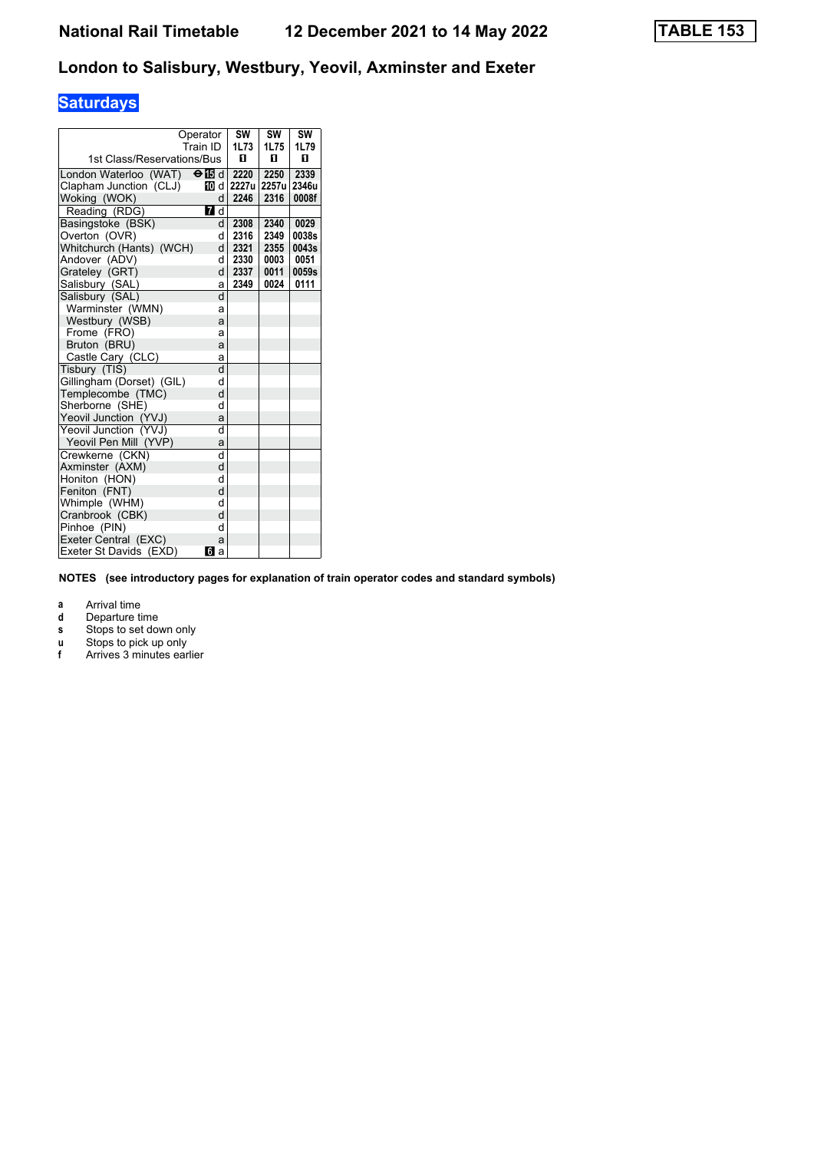# **Saturdays**

|                            | Operator<br>Train ID | SW<br>1L73 | SW<br>1L75 | SW<br>1L79 |
|----------------------------|----------------------|------------|------------|------------|
| 1st Class/Reservations/Bus |                      | п          | п          | п          |
| London Waterloo (WAT)      | $\Theta$ is d        | 2220       | 2250       | 2339       |
| Clapham Junction (CLJ)     | TM d                 | 2227u      | 2257u      | 2346u      |
| Woking (WOK)               | d                    | 2246       | 2316       | 0008f      |
| Reading (RDG)              | <b>7</b> d           |            |            |            |
| Basingstoke (BSK)          | d                    | 2308       | 2340       | 0029       |
| Overton (OVR)              | d                    | 2316       | 2349       | 0038s      |
| Whitchurch (Hants) (WCH)   | d                    | 2321       | 2355       | 0043s      |
| Andover (ADV)              | d                    | 2330       | 0003       | 0051       |
| Grateley (GRT)             | d                    | 2337       | 0011       | 0059s      |
| Salisbury (SAL)            | a                    | 2349       | 0024       | 0111       |
| Salisbury (SAL)            | d                    |            |            |            |
| Warminster (WMN)           | a                    |            |            |            |
| Westbury (WSB)             | a                    |            |            |            |
| Frome (FRO)                | a                    |            |            |            |
| Bruton (BRU)               | a                    |            |            |            |
| Castle Cary (CLC)          | a                    |            |            |            |
| Tisbury (TIS)              | d                    |            |            |            |
| Gillingham (Dorset) (GIL)  | d                    |            |            |            |
| Templecombe (TMC)          | d                    |            |            |            |
| Sherborne (SHE)            | d                    |            |            |            |
| Yeovil Junction (YVJ)      | a                    |            |            |            |
| Yeovil Junction (YVJ)      | d                    |            |            |            |
| Yeovil Pen Mill (YVP)      | a                    |            |            |            |
| Crewkerne (CKN)            | d                    |            |            |            |
| Axminster (AXM)            | d                    |            |            |            |
| Honiton (HON)              | d                    |            |            |            |
| Feniton (FNT)              | d                    |            |            |            |
| Whimple (WHM)              | d                    |            |            |            |
| Cranbrook (CBK)            | d                    |            |            |            |
| Pinhoe (PIN)               | d                    |            |            |            |
| Exeter Central (EXC)       | a                    |            |            |            |
| Exeter St Davids (EXD)     | бlа                  |            |            |            |

**NOTES (see introductory pages for explanation of train operator codes and standard symbols)**

**a** Arrival time<br>**d** Departure ti

- **d** Departure time
- **s** Stops to set down only
- **x** Stops to pick up only **f** Arrives 3 minutes earlier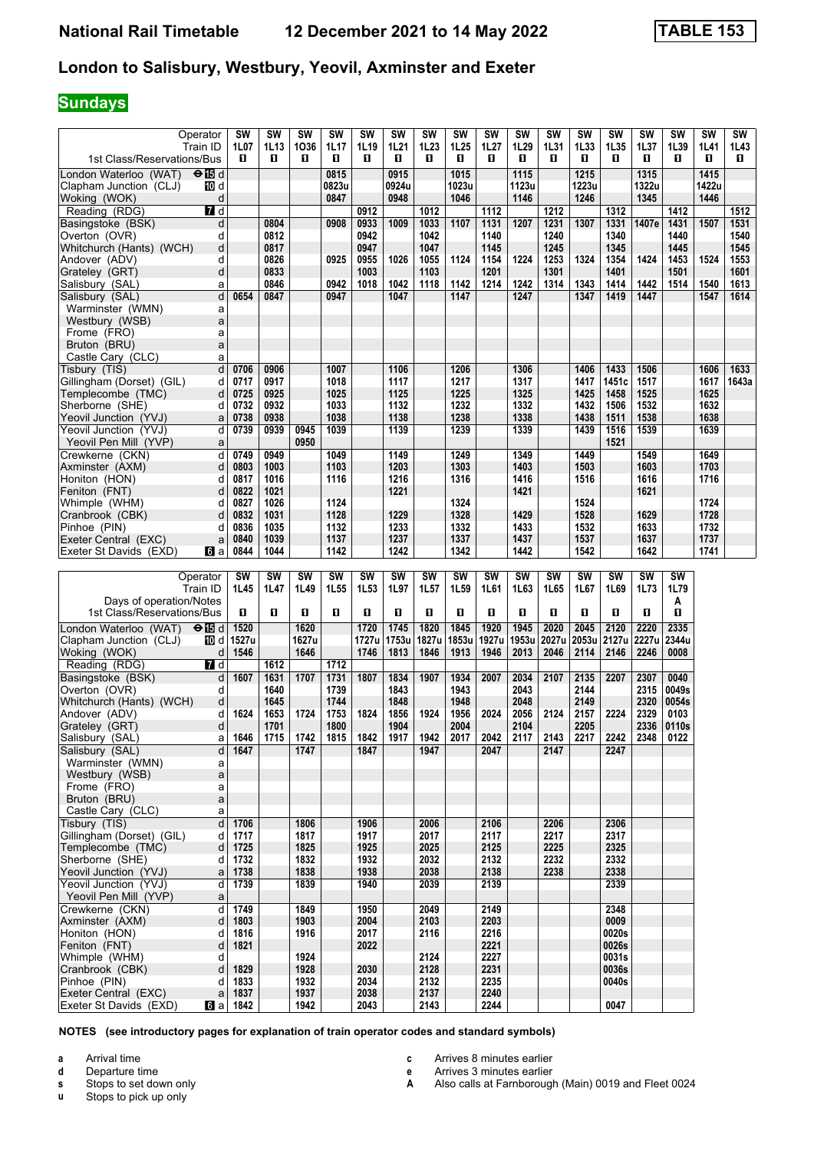# **Sundays**

| Operator                                            | SW                      | <b>SW</b> | SW           | SW        | SW           | SW        | SW           | SW    | <b>SW</b>    | <b>SW</b> | SW                | <b>SW</b> | <b>SW</b> | SW        | <b>SW</b> | SW    | SW    |
|-----------------------------------------------------|-------------------------|-----------|--------------|-----------|--------------|-----------|--------------|-------|--------------|-----------|-------------------|-----------|-----------|-----------|-----------|-------|-------|
| Train ID                                            | 1L07                    | 1L13      | 1036         | 1L17      | 1L19         | 1L21      | 1L23         | 1L25  | 1L27         | 1L29      | 1L31              | 1L33      | 1L35      | 1L37      | 1L39      | 1L41  | 1L43  |
| 1st Class/Reservations/Bus                          | п                       | O         | O            | 0         | П            | O         | O            | П     | п            | O         | O.                | 0         | 0         | O         | 0         | П     | 0     |
| $\Theta$ $\blacksquare$ d<br>London Waterloo (WAT)  |                         |           |              | 0815      |              | 0915      |              | 1015  |              | 1115      |                   | 1215      |           | 1315      |           | 1415  |       |
| Clapham Junction (CLJ)<br>10 d                      |                         |           |              | 0823u     |              | 0924u     |              | 1023u |              | 1123u     |                   | 1223u     |           | 1322u     |           | 1422u |       |
| Woking (WOK)<br>d                                   |                         |           |              | 0847      |              | 0948      |              | 1046  |              | 1146      |                   | 1246      |           | 1345      |           | 1446  |       |
| Reading (RDG)<br>7 d                                |                         |           |              |           | 0912         |           | 1012         |       | 1112         |           | $\overline{1212}$ |           | 1312      |           | 1412      |       | 1512  |
| Basingstoke (BSK)<br>d                              |                         | 0804      |              | 0908      | 0933         | 1009      | 1033         | 1107  | 1131         | 1207      | 1231              | 1307      | 1331      | 1407e     | 1431      | 1507  | 1531  |
| Overton (OVR)<br>d                                  |                         | 0812      |              |           | 0942         |           | 1042         |       | 1140         |           | 1240              |           | 1340      |           | 1440      |       | 1540  |
| d<br>Whitchurch (Hants) (WCH)                       |                         | 0817      |              |           | 0947         |           | 1047         |       | 1145         |           | 1245              |           | 1345      |           | 1445      |       | 1545  |
| Andover (ADV)<br>d                                  |                         | 0826      |              | 0925      | 0955         | 1026      | 1055         | 1124  | 1154         | 1224      | 1253              | 1324      | 1354      | 1424      | 1453      | 1524  | 1553  |
| d<br>Grateley (GRT)                                 |                         | 0833      |              |           | 1003         |           | 1103         |       | 1201         |           | 1301              |           | 1401      |           | 1501      |       | 1601  |
|                                                     |                         | 0846      |              | 0942      | 1018         | 1042      |              |       |              |           | 1314              |           |           | 1442      | 1514      |       |       |
| Salisbury (SAL)<br>a                                |                         |           |              |           |              |           | 1118         | 1142  | 1214         | 1242      |                   | 1343      | 1414      |           |           | 1540  | 1613  |
| d<br>Salisbury (SAL)                                | 0654                    | 0847      |              | 0947      |              | 1047      |              | 1147  |              | 1247      |                   | 1347      | 1419      | 1447      |           | 1547  | 1614  |
| Warminster (WMN)<br>a                               |                         |           |              |           |              |           |              |       |              |           |                   |           |           |           |           |       |       |
| Westbury (WSB)<br>a                                 |                         |           |              |           |              |           |              |       |              |           |                   |           |           |           |           |       |       |
| Frome (FRO)<br>a                                    |                         |           |              |           |              |           |              |       |              |           |                   |           |           |           |           |       |       |
| Bruton (BRU)<br>a                                   |                         |           |              |           |              |           |              |       |              |           |                   |           |           |           |           |       |       |
| Castle Cary (CLC)<br>a                              |                         |           |              |           |              |           |              |       |              |           |                   |           |           |           |           |       |       |
| d<br>Tisbury (TIS)                                  | 0706                    | 0906      |              | 1007      |              | 1106      |              | 1206  |              | 1306      |                   | 1406      | 1433      | 1506      |           | 1606  | 1633  |
| Gillingham (Dorset) (GIL)<br>d                      | 0717                    | 0917      |              | 1018      |              | 1117      |              | 1217  |              | 1317      |                   | 1417      | 1451c     | 1517      |           | 1617  | 1643a |
| Templecombe (TMC)<br>d                              | 0725                    | 0925      |              | 1025      |              | 1125      |              | 1225  |              | 1325      |                   | 1425      | 1458      | 1525      |           | 1625  |       |
| Sherborne (SHE)<br>d                                | 0732                    | 0932      |              | 1033      |              | 1132      |              | 1232  |              | 1332      |                   | 1432      | 1506      | 1532      |           | 1632  |       |
| Yeovil Junction (YVJ)<br>a                          | 0738                    | 0938      |              | 1038      |              | 1138      |              | 1238  |              | 1338      |                   | 1438      | 1511      | 1538      |           | 1638  |       |
| Yeovil Junction (YVJ)<br>d                          | 0739                    | 0939      | 0945         | 1039      |              | 1139      |              | 1239  |              | 1339      |                   | 1439      | 1516      | 1539      |           | 1639  |       |
| Yeovil Pen Mill (YVP)<br>a                          |                         |           | 0950         |           |              |           |              |       |              |           |                   |           | 1521      |           |           |       |       |
| Crewkerne (CKN)<br>d                                | 0749                    | 0949      |              | 1049      |              | 1149      |              | 1249  |              | 1349      |                   | 1449      |           | 1549      |           | 1649  |       |
| Axminster (AXM)<br>d                                | 0803                    | 1003      |              | 1103      |              | 1203      |              | 1303  |              | 1403      |                   | 1503      |           | 1603      |           | 1703  |       |
| Honiton (HON)<br>d                                  | 0817                    | 1016      |              | 1116      |              | 1216      |              | 1316  |              | 1416      |                   | 1516      |           | 1616      |           | 1716  |       |
| Feniton (FNT)<br>d                                  | 0822                    | 1021      |              |           |              | 1221      |              |       |              | 1421      |                   |           |           | 1621      |           |       |       |
| Whimple (WHM)<br>d                                  | 0827                    | 1026      |              | 1124      |              |           |              | 1324  |              |           |                   | 1524      |           |           |           | 1724  |       |
| Cranbrook (CBK)<br>d                                | 0832                    | 1031      |              | 1128      |              | 1229      |              | 1328  |              | 1429      |                   | 1528      |           | 1629      |           | 1728  |       |
| Pinhoe (PIN)<br>d                                   | 0836                    | 1035      |              | 1132      |              | 1233      |              | 1332  |              | 1433      |                   | 1532      |           | 1633      |           | 1732  |       |
| Exeter Central (EXC)<br>a                           | 0840                    | 1039      |              | 1137      |              | 1237      |              | 1337  |              | 1437      |                   | 1537      |           | 1637      |           | 1737  |       |
| Exeter St Davids (EXD)<br><b>loi</b> a              | 0844                    | 1044      |              | 1142      |              | 1242      |              | 1342  |              | 1442      |                   | 1542      |           | 1642      |           | 1741  |       |
|                                                     |                         |           |              |           |              |           |              |       |              |           |                   |           |           |           |           |       |       |
|                                                     |                         |           |              |           |              |           |              |       |              |           |                   |           |           |           |           |       |       |
|                                                     |                         |           |              |           |              |           |              |       |              |           |                   |           |           |           |           |       |       |
| Operator                                            | SW                      | <b>SW</b> | <b>SW</b>    | <b>SW</b> | SW           | <b>SW</b> | <b>SW</b>    | SW    | <b>SW</b>    | <b>SW</b> | <b>SW</b>         | <b>SW</b> | <b>SW</b> | <b>SW</b> | <b>SW</b> |       |       |
| Train ID                                            | 1L45                    | 1L47      | 1L49         | 1L55      | 1L53         | 1L97      | 1L57         | 1L59  | 1L61         | 1L63      | 1L65              | 1L67      | 1L69      | 1L73      | 1L79      |       |       |
| Days of operation/Notes                             |                         |           |              |           |              |           |              |       |              |           |                   |           |           |           | A         |       |       |
| 1st Class/Reservations/Bus                          | O                       | O         | п            | п         | п            | п         | O.           | п     | п            | п         | п                 | П         | O.        | п         | П         |       |       |
| London Waterloo (WAT)<br>$\Theta$ is d              | 1520                    |           | 1620         |           | 1720         | 1745      | 1820         | 1845  | 1920         | 1945      | 2020              | 2045      | 2120      | 2220      | 2335      |       |       |
| Clapham Junction (CLJ)<br>10 d                      | 1527u                   |           | 1627u        |           | 1727u        | 1753u     | 1827u        | 1853u | 1927u        | 1953u     | 2027u             | 2053u     | 2127u     | 2227u     | 2344u     |       |       |
| Woking (WOK)<br>d                                   | 1546                    |           | 1646         |           | 1746         | 1813      | 1846         | 1913  | 1946         | 2013      | 2046              | 2114      | 2146      | 2246      | 0008      |       |       |
| Reading (RDG)<br>7 d                                |                         | 1612      |              | 1712      |              |           |              |       |              |           |                   |           |           |           |           |       |       |
| Basingstoke (BSK)<br>d                              | 1607                    | 1631      | 1707         | 1731      | 1807         | 1834      | 1907         | 1934  | 2007         | 2034      | 2107              | 2135      | 2207      | 2307      | 0040      |       |       |
| Overton (OVR)<br>d                                  |                         | 1640      |              | 1739      |              | 1843      |              | 1943  |              | 2043      |                   | 2144      |           | 2315      | 0049s     |       |       |
| Whitchurch (Hants) (WCH)<br>d                       |                         | 1645      |              | 1744      |              | 1848      |              | 1948  |              | 2048      |                   | 2149      |           | 2320      | 0054s     |       |       |
| Andover (ADV)<br>d                                  | 1624                    | 1653      | 1724         | 1753      | 1824         | 1856      | 1924         | 1956  | 2024         | 2056      | 2124              | 2157      | 2224      | 2329      | 0103      |       |       |
| Grateley (GRT)<br>d                                 |                         | 1701      |              | 1800      |              | 1904      |              | 2004  |              | 2104      |                   | 2205      |           | 2336      | 0110s     |       |       |
| Salisbury (SAL)                                     | 1646                    | 1715      | 1742         | 1815      | 1842 1917    |           | 1942         | 2017  |              | 2042 2117 | 2143 2217         |           |           | 2242 2348 | 0122      |       |       |
| Salisbury (SAL)<br>d                                | 1647                    |           | 1747         |           | 1847         |           | 1947         |       | 2047         |           | 2147              |           | 2247      |           |           |       |       |
| Warminster (WMN)<br>a                               |                         |           |              |           |              |           |              |       |              |           |                   |           |           |           |           |       |       |
| Westbury (WSB)<br>a                                 |                         |           |              |           |              |           |              |       |              |           |                   |           |           |           |           |       |       |
| Frome (FRO)<br>a                                    |                         |           |              |           |              |           |              |       |              |           |                   |           |           |           |           |       |       |
| a<br>Bruton (BRU)                                   |                         |           |              |           |              |           |              |       |              |           |                   |           |           |           |           |       |       |
| Castle Cary (CLC)<br>a                              |                         |           |              |           |              |           |              |       |              |           |                   |           |           |           |           |       |       |
| Tisbury (TIS)<br>d                                  | 1706                    |           | 1806         |           | 1906         |           | 2006         |       | 2106         |           | 2206              |           | 2306      |           |           |       |       |
| d                                                   | 1717                    |           | 1817         |           | 1917         |           | 2017         |       | 2117         |           | 2217              |           | 2317      |           |           |       |       |
| Gillingham (Dorset) (GIL)<br>Templecombe (TMC)<br>d | 1725                    |           |              |           | 1925         |           | 2025         |       |              |           | 2225              |           | 2325      |           |           |       |       |
| d                                                   | 1732                    |           | 1825<br>1832 |           | 1932         |           | 2032         |       | 2125<br>2132 |           | 2232              |           | 2332      |           |           |       |       |
| Sherborne (SHE)                                     |                         |           |              |           |              |           |              |       |              |           |                   |           |           |           |           |       |       |
| Yeovil Junction (YVJ)<br>a                          | 1738                    |           | 1838         |           | 1938         |           | 2038         |       | 2138         |           | 2238              |           | 2338      |           |           |       |       |
| Yeovil Junction (YVJ)<br>d                          | 1739                    |           | 1839         |           | 1940         |           | 2039         |       | 2139         |           |                   |           | 2339      |           |           |       |       |
| Yeovil Pen Mill (YVP)<br>a                          |                         |           |              |           |              |           |              |       |              |           |                   |           |           |           |           |       |       |
| Crewkerne (CKN)<br>d                                | 1749                    |           | 1849         |           | 1950         |           | 2049         |       | 2149         |           |                   |           | 2348      |           |           |       |       |
| Axminster (AXM)<br>d                                | 1803                    |           | 1903         |           | 2004         |           | 2103         |       | 2203         |           |                   |           | 0009      |           |           |       |       |
| Honiton (HON)<br>d                                  | 1816                    |           | 1916         |           | 2017         |           | 2116         |       | 2216         |           |                   |           | 0020s     |           |           |       |       |
| d<br>Feniton (FNT)                                  | 1821                    |           |              |           | 2022         |           |              |       | 2221         |           |                   |           | 0026s     |           |           |       |       |
| Whimple (WHM)<br>d                                  |                         |           | 1924         |           |              |           | 2124         |       | 2227         |           |                   |           | 0031s     |           |           |       |       |
| Cranbrook (CBK)<br>d                                | 1829                    |           | 1928         |           | 2030         |           | 2128         |       | 2231         |           |                   |           | 0036s     |           |           |       |       |
| Pinhoe (PIN)<br>d                                   | 1833                    |           | 1932         |           | 2034         |           | 2132         |       | 2235         |           |                   |           | 0040s     |           |           |       |       |
| Exeter Central (EXC)<br>a<br>Exeter St Davids (EXD) | 1837<br><b>6</b> a 1842 |           | 1937<br>1942 |           | 2038<br>2043 |           | 2137<br>2143 |       | 2240<br>2244 |           |                   |           | 0047      |           |           |       |       |

**NOTES (see introductory pages for explanation of train operator codes and standard symbols)**

- **a** Arrival time<br>**d** Departure t
- **d** Departure time
- **s** Stops to set down only
- **u** Stops to pick up only
- **c** Arrives 8 minutes earlier<br> **e** Arrives 3 minutes earlier<br> **A** Also calls at Farnborough
- **e** Arrives 3 minutes earlier
- Also calls at Farnborough (Main) 0019 and Fleet 0024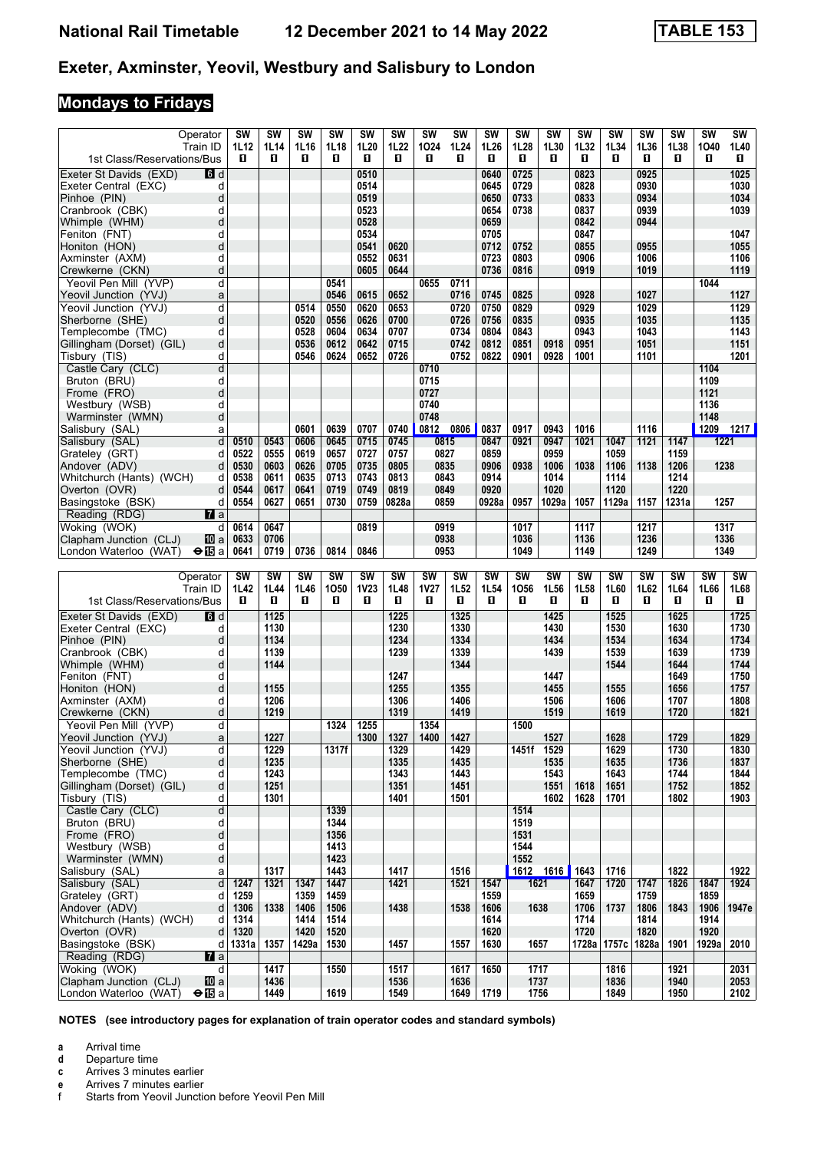# **Mondays to Fridays**

| Operator<br>Train ID                                                            | <b>SW</b><br>1L12 | <b>SW</b><br>1L14 | <b>SW</b><br>1L16 | <b>SW</b><br>1L18 | SW<br>1L20        | <b>SW</b><br>1L22 | <b>SW</b><br>1024 | <b>SW</b><br>1L24 | <b>SW</b><br>1L26 | <b>SW</b><br>1L28 | <b>SW</b><br>1L30 | <b>SW</b><br>1L32 | <b>SW</b><br>1L34     | <b>SW</b><br>1L36 | <b>SW</b><br>1L38 | <b>SW</b><br>1040 | SW<br>1L40   |
|---------------------------------------------------------------------------------|-------------------|-------------------|-------------------|-------------------|-------------------|-------------------|-------------------|-------------------|-------------------|-------------------|-------------------|-------------------|-----------------------|-------------------|-------------------|-------------------|--------------|
| 1st Class/Reservations/Bus                                                      | п                 | п                 | O                 | 0                 | D.                | O                 | О                 | п                 | O                 | п                 | п                 | O.                | 0                     | п                 | O                 | п                 | 0            |
| <b>d</b> d<br>Exeter St Davids (EXD)                                            |                   |                   |                   |                   | 0510              |                   |                   |                   | 0640              | 0725              |                   | 0823              |                       | 0925              |                   |                   | 1025         |
| Exeter Central (EXC)<br>d                                                       |                   |                   |                   |                   | 0514              |                   |                   |                   | 0645              | 0729              |                   | 0828              |                       | 0930              |                   |                   | 1030         |
| d<br>Pinhoe (PIN)<br>d                                                          |                   |                   |                   |                   | 0519<br>0523      |                   |                   |                   | 0650              | 0733              |                   | 0833              |                       | 0934<br>0939      |                   |                   | 1034         |
| Cranbrook (CBK)<br>Whimple (WHM)<br>d                                           |                   |                   |                   |                   | 0528              |                   |                   |                   | 0654<br>0659      | 0738              |                   | 0837<br>0842      |                       | 0944              |                   |                   | 1039         |
| Feniton (FNT)<br>d                                                              |                   |                   |                   |                   | 0534              |                   |                   |                   | 0705              |                   |                   | 0847              |                       |                   |                   |                   | 1047         |
| d<br>Honiton (HON)                                                              |                   |                   |                   |                   | 0541              | 0620              |                   |                   | 0712              | 0752              |                   | 0855              |                       | 0955              |                   |                   | 1055         |
| Axminster (AXM)<br>d                                                            |                   |                   |                   |                   | 0552              | 0631              |                   |                   | 0723              | 0803              |                   | 0906              |                       | 1006              |                   |                   | 1106         |
| d<br>Crewkerne (CKN)                                                            |                   |                   |                   |                   | 0605              | 0644              |                   |                   | 0736              | 0816              |                   | 0919              |                       | 1019              |                   |                   | 1119         |
| Yeovil Pen Mill (YVP)<br>d                                                      |                   |                   |                   | 0541              |                   |                   | 0655              | 0711              |                   |                   |                   |                   |                       |                   |                   | 1044              |              |
| Yeovil Junction (YVJ)<br>a                                                      |                   |                   |                   | 0546              | 0615              | 0652              |                   | 0716              | 0745              | 0825              |                   | 0928              |                       | 1027              |                   |                   | 1127         |
| Yeovil Junction (YVJ)<br>d                                                      |                   |                   | 0514              | 0550              | 0620              | 0653              |                   | 0720              | 0750              | 0829              |                   | 0929              |                       | 1029              |                   |                   | 1129         |
| d<br>Sherborne (SHE)                                                            |                   |                   | 0520              | 0556              | 0626              | 0700              |                   | 0726              | 0756              | 0835              |                   | 0935              |                       | 1035              |                   |                   | 1135         |
| Templecombe (TMC)<br>d                                                          |                   |                   | 0528              | 0604              | 0634              | 0707              |                   | 0734              | 0804              | 0843              |                   | 0943              |                       | 1043              |                   |                   | 1143         |
| d<br>Gillingham (Dorset) (GIL)                                                  |                   |                   | 0536              | 0612              | 0642              | 0715              |                   | 0742              | 0812              | 0851              | 0918              | 0951              |                       | 1051              |                   |                   | 1151         |
| d<br>Tisbury (TIS)                                                              |                   |                   | 0546              | 0624              | 0652              | 0726              |                   | 0752              | 0822              | 0901              | 0928              | 1001              |                       | 1101              |                   |                   | 1201         |
| d<br>Castle Cary (CLC)                                                          |                   |                   |                   |                   |                   |                   | 0710              |                   |                   |                   |                   |                   |                       |                   |                   | 1104              |              |
| d<br>Bruton (BRU)                                                               |                   |                   |                   |                   |                   |                   | 0715              |                   |                   |                   |                   |                   |                       |                   |                   | 1109              |              |
| d<br>Frome (FRO)                                                                |                   |                   |                   |                   |                   |                   | 0727              |                   |                   |                   |                   |                   |                       |                   |                   | 1121              |              |
| Westbury (WSB)<br>d                                                             |                   |                   |                   |                   |                   |                   | 0740              |                   |                   |                   |                   |                   |                       |                   |                   | 1136              |              |
| d<br>Warminster (WMN)                                                           |                   |                   |                   |                   |                   |                   | 0748              |                   |                   |                   |                   |                   |                       |                   |                   | 1148              |              |
| Salisbury (SAL)<br>a                                                            |                   |                   | 0601              | 0639              | 0707              | 0740              |                   | 0812 0806         | 0837              | 0917              | 0943              | 1016              |                       | 1116              |                   | 1209 1217         |              |
| d<br>Salisbury (SAL)                                                            | 0510              | 0543              | 0606              | 0645              | 0715              | 0745              |                   | 0815              | 0847              | 0921              | 0947              | 1021              | 1047                  | 1121              | 1147              | 1221              |              |
| Grateley (GRT)<br>d                                                             | 0522              | 0555              | 0619              | 0657              | 0727              | 0757              | 0827              |                   | 0859              |                   | 0959              |                   | 1059                  |                   | 1159              |                   |              |
| Andover (ADV)<br>d                                                              | 0530              | 0603              | 0626              | 0705              | 0735              | 0805              | 0835              |                   | 0906              | 0938              | 1006              | 1038              | 1106                  | 1138              | 1206              | 1238              |              |
| Whitchurch (Hants) (WCH)<br>d                                                   | 0538              | 0611              | 0635              | 0713              | 0743              | 0813              | 0843              |                   | 0914              |                   | 1014<br>1020      |                   | 1114                  |                   | 1214<br>1220      |                   |              |
| d<br>Overton (OVR)                                                              | 0544<br>0554      | 0617<br>0627      | 0641<br>0651      | 0719<br>0730      | 0749<br>0759      | 0819<br>0828a     | 0849<br>0859      |                   | 0920              | 0957              | 1029a             | 1057              | 1120<br>1129a         | 1157              | 1231a             | 1257              |              |
| Basingstoke (BSK)<br>d                                                          |                   |                   |                   |                   |                   |                   |                   |                   | 0928a             |                   |                   |                   |                       |                   |                   |                   |              |
| Reading (RDG)<br><b>7</b> a<br>Woking (WOK)                                     |                   |                   |                   |                   |                   |                   |                   |                   |                   |                   |                   |                   |                       |                   |                   |                   |              |
| d l<br>Clapham Junction (CLJ)                                                   | 0614<br>0633      | 0647<br>0706      |                   |                   | 0819              |                   | 0919<br>0938      |                   |                   | 1017              |                   | 1117              |                       | 1217<br>1236      |                   | 1317<br>1336      |              |
| 100al<br>$\Theta$ $\mathbb{E}$ a<br>London Waterloo (WAT)                       | 0641              | 0719              | 0736              | 0814              | 0846              |                   | 0953              |                   |                   | 1036<br>1049      |                   | 1136<br>1149      |                       | 1249              |                   | 1349              |              |
|                                                                                 |                   |                   |                   |                   |                   |                   |                   |                   |                   |                   |                   |                   |                       |                   |                   |                   |              |
|                                                                                 |                   |                   |                   |                   |                   |                   |                   |                   |                   |                   |                   |                   |                       |                   |                   |                   |              |
|                                                                                 |                   |                   |                   |                   |                   |                   |                   |                   |                   |                   |                   |                   |                       |                   |                   |                   |              |
| Operator                                                                        | <b>SW</b>         | SW                | <b>SW</b>         | <b>SW</b>         | SW                | <b>SW</b>         | <b>SW</b>         | <b>SW</b>         | SW                | <b>SW</b>         | <b>SW</b>         | SW                | <b>SW</b>             | <b>SW</b>         | SW                | <b>SW</b>         | <b>SW</b>    |
| Train ID                                                                        | 1L42<br>п         | 1L44              | 1L46<br>O         | 1050<br>O         | <b>1V23</b><br>O. | 1L48              | <b>1V27</b><br>O. | 1L52              | 1L54<br>O         | 1056<br>O         | 1L56              | 1L58<br>O         | 1L60                  | 1L62<br>0         | 1L64              | 1L66<br>п         | 1L68         |
| 1st Class/Reservations/Bus                                                      |                   | П                 |                   |                   |                   | П                 |                   | п                 |                   |                   | П                 |                   | п                     |                   | П                 |                   | П            |
| Exeter St Davids (EXD)<br><b>6</b> d                                            |                   | $1125$            |                   |                   |                   | 1225              |                   | 1325              |                   |                   | 1425              |                   | 1525                  |                   | 1625              |                   | 1725         |
| Exeter Central (EXC)<br>d                                                       |                   | 1130              |                   |                   |                   | 1230              |                   | 1330              |                   |                   | 1430              |                   | 1530                  |                   | 1630              |                   | 1730         |
| d<br>Pinhoe (PIN)                                                               |                   | 1134              |                   |                   |                   | 1234              |                   | 1334              |                   |                   | 1434              |                   | 1534                  |                   | 1634              |                   | 1734         |
| Cranbrook (CBK)<br>d                                                            |                   | 1139              |                   |                   |                   | 1239              |                   | 1339              |                   |                   | 1439              |                   | 1539                  |                   | 1639              |                   | 1739         |
| Whimple (WHM)<br>d                                                              |                   | 1144              |                   |                   |                   |                   |                   | 1344              |                   |                   |                   |                   | 1544                  |                   | 1644              |                   | 1744         |
| Feniton (FNT)<br>d                                                              |                   |                   |                   |                   |                   | 1247              |                   |                   |                   |                   | 1447              |                   |                       |                   | 1649              |                   | 1750         |
| d<br>Honiton (HON)<br>d                                                         |                   | 1155<br>1206      |                   |                   |                   | 1255<br>1306      |                   | 1355<br>1406      |                   |                   | 1455<br>1506      |                   | 1555<br>1606          |                   | 1656<br>1707      |                   | 1757<br>1808 |
| Axminster (AXM)<br>d<br>Crewkerne (CKN)                                         |                   | 1219              |                   |                   |                   | 1319              |                   | 1419              |                   |                   | 1519              |                   | 1619                  |                   | 1720              |                   | 1821         |
| Yeovil Pen Mill (YVP)<br>d                                                      |                   |                   |                   | 1324              | 1255              |                   | 1354              |                   |                   | 1500              |                   |                   |                       |                   |                   |                   |              |
| Yeovil Junction (YVJ)<br>a                                                      |                   | 1227              |                   |                   | 1300              | 1327              | 1400              | 1427              |                   |                   | 1527              |                   | 1628                  |                   | 1729              |                   | 1829         |
| Yeovil Junction (YVJ)<br>d                                                      |                   | 1229              |                   | 1317f             |                   | 1329              |                   | 1429              |                   | 1451f 1529        |                   |                   | 1629                  |                   | 1730              |                   | 1830         |
| d<br>Sherborne (SHE)                                                            |                   | 1235              |                   |                   |                   | 1335              |                   | 1435              |                   |                   | 1535              |                   | 1635                  |                   | 1736              |                   | 1837         |
| Templecombe (TMC)<br>d                                                          |                   | 1243              |                   |                   |                   | 1343              |                   | 1443              |                   |                   | 1543              |                   | 1643                  |                   | 1744              |                   | 1844         |
| d<br>Gillingham (Dorset) (GIL)                                                  |                   | 1251              |                   |                   |                   | 1351              |                   | 1451              |                   |                   | 1551              | 1618              | 1651                  |                   | 1752              |                   | 1852         |
| Tisbury (TIS)<br>d                                                              |                   | 1301              |                   |                   |                   | 1401              |                   | 1501              |                   |                   | 1602              | 1628              | 1701                  |                   | 1802              |                   | 1903         |
| Castle Cary (CLC)<br>d                                                          |                   |                   |                   | 1339              |                   |                   |                   |                   |                   | 1514              |                   |                   |                       |                   |                   |                   |              |
| Bruton (BRU)<br>d                                                               |                   |                   |                   | 1344              |                   |                   |                   |                   |                   | 1519              |                   |                   |                       |                   |                   |                   |              |
| Frome (FRO)<br>d                                                                |                   |                   |                   | 1356              |                   |                   |                   |                   |                   | 1531              |                   |                   |                       |                   |                   |                   |              |
| Westbury (WSB)<br>d                                                             |                   |                   |                   | 1413              |                   |                   |                   |                   |                   | 1544              |                   |                   |                       |                   |                   |                   |              |
| $\sf d$<br>Warminster (WMN)                                                     |                   |                   |                   | 1423              |                   |                   |                   |                   |                   | 1552              |                   |                   |                       |                   |                   |                   |              |
| Salisbury (SAL)<br>a                                                            |                   | 1317              |                   | 1443              |                   | 1417              |                   | 1516              |                   |                   | 1612 1616         | 1643              | 1716                  |                   | 1822              |                   | 1922         |
| Salisbury (SAL)<br>d                                                            | 1247              | 1321              | 1347              | 1447              |                   | 1421              |                   | 1521              | 1547              | 1621              |                   | 1647              | 1720                  | 1747              | 1826              | 1847              | 1924         |
| Grateley (GRT)<br>d                                                             | 1259              |                   | 1359              | 1459              |                   |                   |                   |                   | 1559              |                   |                   | 1659              |                       | 1759              |                   | 1859              |              |
| Andover (ADV)<br>d                                                              | 1306              | 1338              | 1406              | 1506              |                   | 1438              |                   | 1538              | 1606              | 1638              |                   | 1706              | 1737                  | 1806              | 1843              | 1906              | 1947e        |
| Whitchurch (Hants) (WCH)<br>d                                                   | 1314              |                   | 1414              | 1514              |                   |                   |                   |                   | 1614              |                   |                   | 1714              |                       | 1814              |                   | 1914              |              |
| d<br>Overton (OVR)                                                              | 1320              |                   | 1420              | 1520              |                   |                   |                   |                   | 1620              |                   |                   | 1720              |                       | 1820              |                   | 1920              |              |
| Basingstoke (BSK)<br>d                                                          | 1331a             | 1357              | 1429a             | 1530              |                   | 1457              |                   | 1557              | 1630              |                   | 1657              |                   | 1728a   1757c   1828a |                   | 1901              | 1929a             | 2010         |
| Reading (RDG)<br>$\mathbf{z}$ a                                                 |                   |                   |                   |                   |                   |                   |                   |                   |                   |                   |                   |                   |                       |                   |                   |                   |              |
| Woking (WOK)<br>$\overline{d}$                                                  |                   | 1417              |                   | 1550              |                   | 1517              |                   | 1617              | 1650              |                   | 1717              |                   | 1816                  |                   | 1921              |                   | 2031         |
| Clapham Junction (CLJ)<br><b>ID</b> a<br>London Waterloo (WAT)<br>$\bigoplus$ a |                   | 1436<br>1449      |                   | 1619              |                   | 1536<br>1549      |                   | 1636<br>1649      | 1719              | 1737              | 1756              |                   | 1836<br>1849          |                   | 1940<br>1950      |                   | 2053<br>2102 |

**NOTES (see introductory pages for explanation of train operator codes and standard symbols)**

**a** Arrival time<br>**d** Departure t

**d** Departure time

**c** Arrives 3 minutes earlier

**e** Arrives 7 minutes earlier<br>f Starts from Yeovil Junction Starts from Yeovil Junction before Yeovil Pen Mill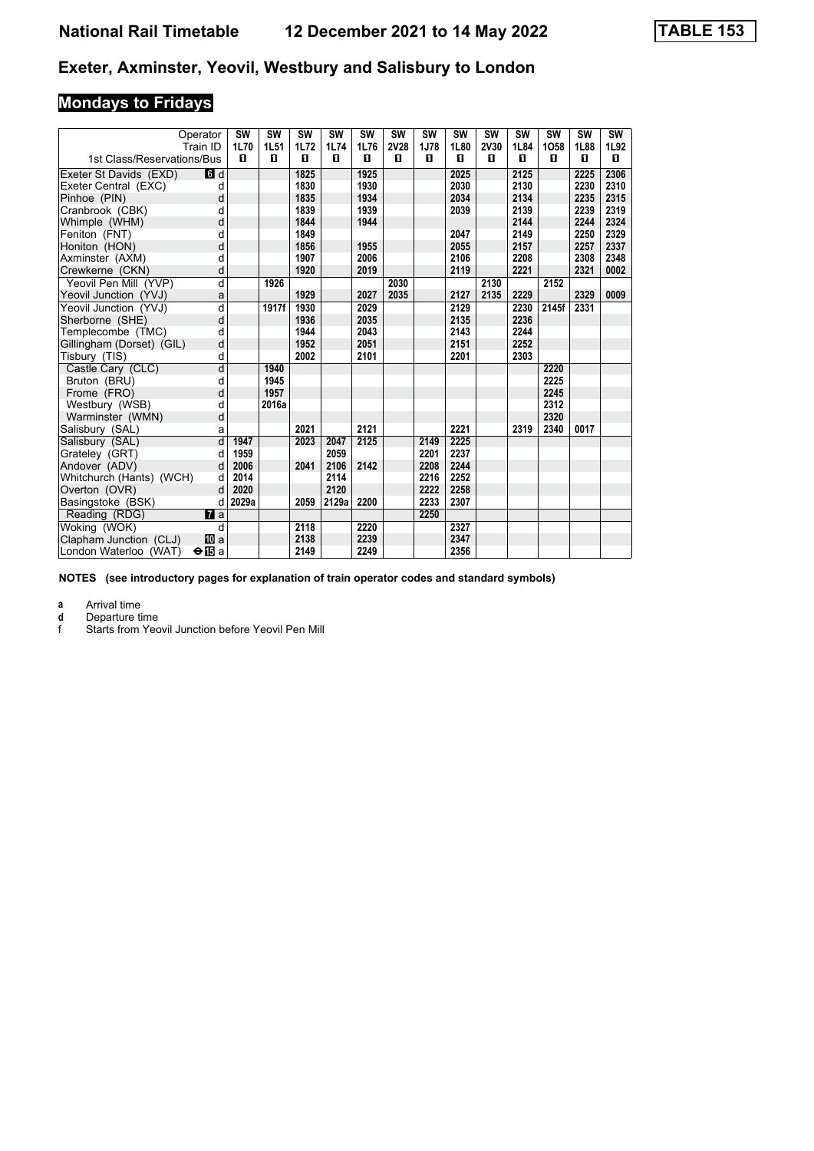# **Mondays to Fridays**

|                            | Operator       | <b>SW</b> | <b>SW</b> | <b>SW</b> | <b>SW</b> | SW   | <b>SW</b>   | <b>SW</b> | <b>SW</b> | <b>SW</b>   | <b>SW</b> | <b>SW</b> | <b>SW</b> | <b>SW</b> |
|----------------------------|----------------|-----------|-----------|-----------|-----------|------|-------------|-----------|-----------|-------------|-----------|-----------|-----------|-----------|
|                            | Train ID       | 1L70      | 1L51      | 1L72      | 1L74      | 1L76 | <b>2V28</b> | 1J78      | 1L80      | <b>2V30</b> | 1L84      | 1058      | 1L88      | 1L92      |
| 1st Class/Reservations/Bus |                | п         | п         | п         | п         | п    | п           | п         | п         | п           | п         | п         | п         | п         |
| Exeter St Davids (EXD)     | $\blacksquare$ |           |           | 1825      |           | 1925 |             |           | 2025      |             | 2125      |           | 2225      | 2306      |
| Exeter Central (EXC)       | d              |           |           | 1830      |           | 1930 |             |           | 2030      |             | 2130      |           | 2230      | 2310      |
| Pinhoe (PIN)               | d              |           |           | 1835      |           | 1934 |             |           | 2034      |             | 2134      |           | 2235      | 2315      |
| Cranbrook (CBK)            | d              |           |           | 1839      |           | 1939 |             |           | 2039      |             | 2139      |           | 2239      | 2319      |
| Whimple (WHM)              | d              |           |           | 1844      |           | 1944 |             |           |           |             | 2144      |           | 2244      | 2324      |
| Feniton (FNT)              | d              |           |           | 1849      |           |      |             |           | 2047      |             | 2149      |           | 2250      | 2329      |
| Honiton (HON)              | d              |           |           | 1856      |           | 1955 |             |           | 2055      |             | 2157      |           | 2257      | 2337      |
| Axminster (AXM)            | d              |           |           | 1907      |           | 2006 |             |           | 2106      |             | 2208      |           | 2308      | 2348      |
| Crewkerne (CKN)            | d              |           |           | 1920      |           | 2019 |             |           | 2119      |             | 2221      |           | 2321      | 0002      |
| Yeovil Pen Mill (YVP)      | d              |           | 1926      |           |           |      | 2030        |           |           | 2130        |           | 2152      |           |           |
| Yeovil Junction (YVJ)      | a              |           |           | 1929      |           | 2027 | 2035        |           | 2127      | 2135        | 2229      |           | 2329      | 0009      |
| Yeovil Junction (YVJ)      | d              |           | 1917f     | 1930      |           | 2029 |             |           | 2129      |             | 2230      | 2145f     | 2331      |           |
| Sherborne (SHE)            | d              |           |           | 1936      |           | 2035 |             |           | 2135      |             | 2236      |           |           |           |
| Templecombe (TMC)          | d              |           |           | 1944      |           | 2043 |             |           | 2143      |             | 2244      |           |           |           |
| Gillingham (Dorset) (GIL)  | d              |           |           | 1952      |           | 2051 |             |           | 2151      |             | 2252      |           |           |           |
| Tisbury (TIS)              | d              |           |           | 2002      |           | 2101 |             |           | 2201      |             | 2303      |           |           |           |
| Castle Cary (CLC)          | d              |           | 1940      |           |           |      |             |           |           |             |           | 2220      |           |           |
| Bruton (BRU)               | d              |           | 1945      |           |           |      |             |           |           |             |           | 2225      |           |           |
| Frome (FRO)                | d              |           | 1957      |           |           |      |             |           |           |             |           | 2245      |           |           |
| Westbury (WSB)             | d              |           | 2016a     |           |           |      |             |           |           |             |           | 2312      |           |           |
| Warminster (WMN)           | d              |           |           |           |           |      |             |           |           |             |           | 2320      |           |           |
| Salisbury (SAL)            | a              |           |           | 2021      |           | 2121 |             |           | 2221      |             | 2319      | 2340      | 0017      |           |
| Salisbury (SAL)            | d              | 1947      |           | 2023      | 2047      | 2125 |             | 2149      | 2225      |             |           |           |           |           |
| Grateley (GRT)             | d              | 1959      |           |           | 2059      |      |             | 2201      | 2237      |             |           |           |           |           |
| Andover (ADV)              | d              | 2006      |           | 2041      | 2106      | 2142 |             | 2208      | 2244      |             |           |           |           |           |
| Whitchurch (Hants) (WCH)   | d              | 2014      |           |           | 2114      |      |             | 2216      | 2252      |             |           |           |           |           |
| Overton (OVR)              | d              | 2020      |           |           | 2120      |      |             | 2222      | 2258      |             |           |           |           |           |
| Basingstoke (BSK)          | d              | 2029a     |           | 2059      | 2129a     | 2200 |             | 2233      | 2307      |             |           |           |           |           |
| Reading (RDG)              | <b>7</b> a     |           |           |           |           |      |             | 2250      |           |             |           |           |           |           |
| Woking (WOK)               | d              |           |           | 2118      |           | 2220 |             |           | 2327      |             |           |           |           |           |
| Clapham Junction (CLJ)     | <b>而</b> a     |           |           | 2138      |           | 2239 |             |           | 2347      |             |           |           |           |           |
| London Waterloo (WAT)      | $\bigoplus$ a  |           |           | 2149      |           | 2249 |             |           | 2356      |             |           |           |           |           |

**NOTES (see introductory pages for explanation of train operator codes and standard symbols)**

**a** Arrival time<br>**d** Departure ti

**d** Departure time<br>**f** Starts from Yec

Starts from Yeovil Junction before Yeovil Pen Mill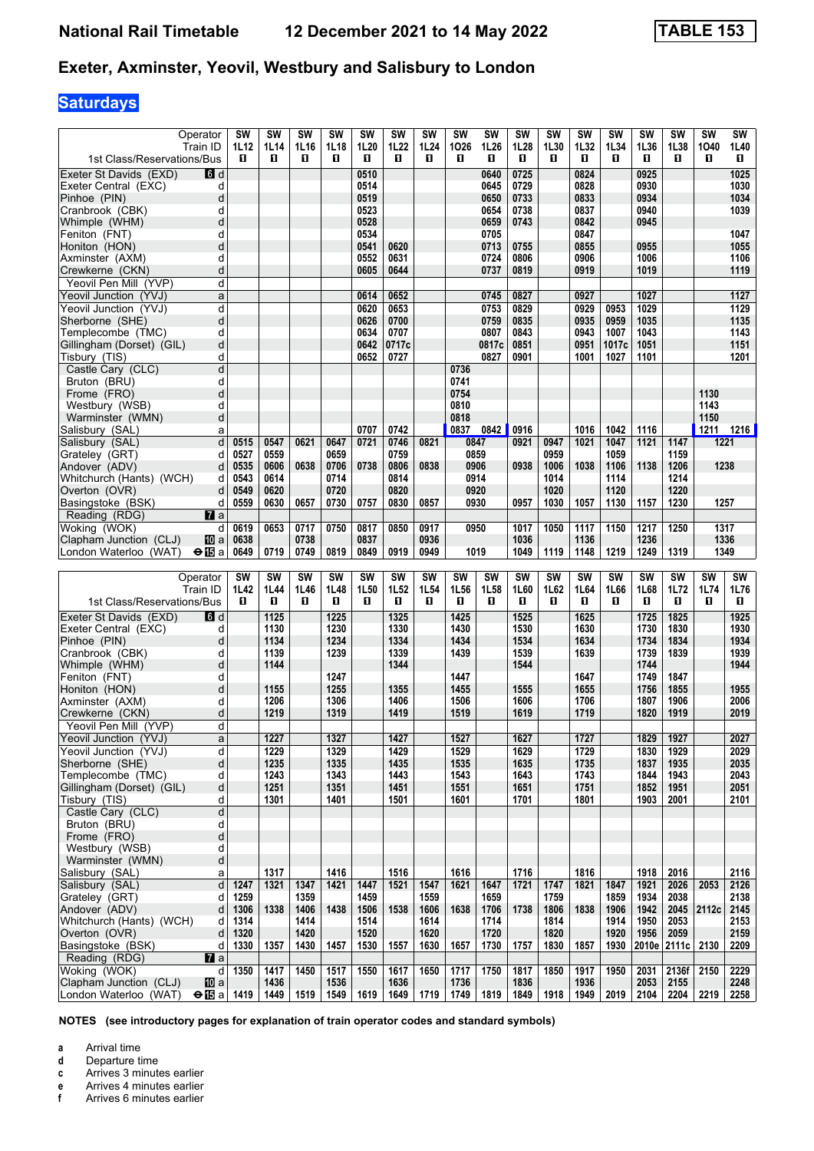# **Saturdays**

| Operator                                                                        | <b>SW</b>    | <b>SW</b>    | <b>SW</b>    | <b>SW</b>    | <b>SW</b>    | <b>SW</b>     | <b>SW</b>    | <b>SW</b>    | SW            | <b>SW</b>    | <b>SW</b>    | <b>SW</b>    | <b>SW</b>     | <b>SW</b>    | <b>SW</b>    | <b>SW</b>    | <b>SW</b>    |
|---------------------------------------------------------------------------------|--------------|--------------|--------------|--------------|--------------|---------------|--------------|--------------|---------------|--------------|--------------|--------------|---------------|--------------|--------------|--------------|--------------|
| Train ID<br>1st Class/Reservations/Bus                                          | 1L12<br>п    | 1L14<br>0    | 1L16<br>O    | 1L18<br>O    | 1L20<br>п    | 1L22<br>O     | 1L24<br>О    | 1026<br>D.   | 1L26<br>O     | 1L28<br>п    | 1L30<br>O.   | 1L32<br>O    | 1L34<br>п     | 1L36<br>п    | 1L38<br>O    | 1040<br>п    | 1L40<br>0    |
| Exeter St Davids (EXD)<br><b>B</b> d                                            |              |              |              |              | 0510         |               |              |              | 0640          | 0725         |              | 0824         |               | 0925         |              |              | 1025         |
| Exeter Central (EXC)<br>d                                                       |              |              |              |              | 0514         |               |              |              | 0645          | 0729         |              | 0828         |               | 0930         |              |              | 1030         |
| d<br>Pinhoe (PIN)                                                               |              |              |              |              | 0519         |               |              |              | 0650          | 0733         |              | 0833         |               | 0934         |              |              | 1034         |
| Cranbrook (CBK)<br>d                                                            |              |              |              |              | 0523         |               |              |              | 0654          | 0738         |              | 0837         |               | 0940         |              |              | 1039         |
| d<br>Whimple (WHM)                                                              |              |              |              |              | 0528         |               |              |              | 0659          | 0743         |              | 0842         |               | 0945         |              |              |              |
| Feniton (FNT)<br>d                                                              |              |              |              |              | 0534         |               |              |              | 0705          |              |              | 0847         |               |              |              |              | 1047         |
| d<br>Honiton (HON)<br>Axminster (AXM)<br>d                                      |              |              |              |              | 0541<br>0552 | 0620<br>0631  |              |              | 0713<br>0724  | 0755<br>0806 |              | 0855<br>0906 |               | 0955<br>1006 |              |              | 1055<br>1106 |
| d<br>Crewkerne (CKN)                                                            |              |              |              |              | 0605         | 0644          |              |              | 0737          | 0819         |              | 0919         |               | 1019         |              |              | 1119         |
| Yeovil Pen Mill (YVP)<br>d                                                      |              |              |              |              |              |               |              |              |               |              |              |              |               |              |              |              |              |
| Yeovil Junction (YVJ)<br>a                                                      |              |              |              |              | 0614         | 0652          |              |              | 0745          | 0827         |              | 0927         |               | 1027         |              |              | 1127         |
| Yeovil Junction (YVJ)<br>d                                                      |              |              |              |              | 0620         | 0653          |              |              | 0753          | 0829         |              | 0929         | 0953          | 1029         |              |              | 1129         |
| d<br>Sherborne (SHE)                                                            |              |              |              |              | 0626         | 0700          |              |              | 0759          | 0835         |              | 0935         | 0959          | 1035         |              |              | 1135         |
| Templecombe (TMC)<br>d                                                          |              |              |              |              | 0634         | 0707          |              |              | 0807          | 0843         |              | 0943         | 1007          | 1043         |              |              | 1143         |
| d<br>Gillingham (Dorset) (GIL)<br>Tisbury (TIS)<br>d                            |              |              |              |              | 0642<br>0652 | 0717c<br>0727 |              |              | 0817c<br>0827 | 0851<br>0901 |              | 0951<br>1001 | 1017c<br>1027 | 1051<br>1101 |              |              | 1151<br>1201 |
| d<br>Castle Cary (CLC)                                                          |              |              |              |              |              |               |              | 0736         |               |              |              |              |               |              |              |              |              |
| Bruton (BRU)<br>d                                                               |              |              |              |              |              |               |              | 0741         |               |              |              |              |               |              |              |              |              |
| d<br>Frome (FRO)                                                                |              |              |              |              |              |               |              | 0754         |               |              |              |              |               |              |              | 1130         |              |
| Westbury (WSB)<br>d                                                             |              |              |              |              |              |               |              | 0810         |               |              |              |              |               |              |              | 1143         |              |
| d<br>Warminster (WMN)                                                           |              |              |              |              |              |               |              | 0818         |               |              |              |              |               |              |              | 1150         |              |
| Salisbury (SAL)<br>a                                                            |              |              |              |              | 0707         | 0742          |              |              | 0837 0842     | 0916         |              | 1016         | 1042          | 1116         |              | 1211         | 1216         |
| d<br>Salisbury (SAL)<br>Grateley (GRT)<br>d                                     | 0515<br>0527 | 0547<br>0559 | 0621         | 0647<br>0659 | 0721         | 0746<br>0759  | 0821         |              | 0847<br>0859  | 0921         | 0947<br>0959 | 1021         | 1047<br>1059  | 1121         | 1147<br>1159 | 1221         |              |
| Andover (ADV)<br>d                                                              | 0535         | 0606         | 0638         | 0706         | 0738         | 0806          | 0838         |              | 0906          | 0938         | 1006         | 1038         | 1106          | 1138         | 1206         | 1238         |              |
| Whitchurch (Hants) (WCH)<br>d                                                   | 0543         | 0614         |              | 0714         |              | 0814          |              |              | 0914          |              | 1014         |              | 1114          |              | 1214         |              |              |
| d<br>Overton (OVR)                                                              | 0549         | 0620         |              | 0720         |              | 0820          |              |              | 0920          |              | 1020         |              | 1120          |              | 1220         |              |              |
| Basingstoke (BSK)<br>d                                                          | 0559         | 0630         | 0657         | 0730         | 0757         | 0830          | 0857         |              | 0930          | 0957         | 1030         | 1057         | 1130          | 1157         | 1230         | 1257         |              |
| Reading (RDG)<br><b>7</b> a                                                     |              |              |              |              |              |               |              |              |               |              |              |              |               |              |              |              |              |
| Woking (WOK)<br>d<br>Clapham Junction (CLJ)<br>10 a                             | 0619<br>0638 | 0653         | 0717<br>0738 | 0750         | 0817<br>0837 | 0850          | 0917<br>0936 |              | 0950          | 1017<br>1036 | 1050         | 1117<br>1136 | 1150          | 1217<br>1236 | 1250         | 1317<br>1336 |              |
| London Waterloo (WAT)<br>⊖l TBa                                                 | 0649         | 0719         | 0749         | 0819         | 0849         | 0919          | 0949         |              | 1019          | 1049         | 1119         | 1148         | 1219          | 1249         | 1319         | 1349         |              |
|                                                                                 |              |              |              |              |              |               |              |              |               |              |              |              |               |              |              |              |              |
|                                                                                 |              |              |              |              |              |               |              |              |               |              |              |              |               |              |              |              |              |
| Operator                                                                        | <b>SW</b>    | <b>SW</b>    | <b>SW</b>    | <b>SW</b>    | SW           | <b>SW</b>     | <b>SW</b>    | <b>SW</b>    | SW            | <b>SW</b>    | <b>SW</b>    | SW           | <b>SW</b>     | <b>SW</b>    | SW           | <b>SW</b>    | SW           |
| Train ID                                                                        | 1L42         | 1L44         | 1L46         | 1L48         | 1L50         | 1L52          | 1L54         | 1L56         | 1L58          | 1L60         | 1L62         | 1L64         | 1L66          | 1L68         | 1L72         | 1L74         | 1L76         |
| 1st Class/Reservations/Bus                                                      | 0            | 0            | O            | 0            | O.           | O             | 0            | D.           | O             | п            | O.           | O            | 0             | O.           | O            | п            | 0            |
| Exeter St Davids (EXD)<br>l6id                                                  |              | 1125         |              | 1225         |              | 1325          |              | 1425         |               | 1525         |              | 1625         |               | 1725         | 1825         |              | 1925         |
| Exeter Central (EXC)<br>d                                                       |              | 1130         |              | 1230         |              | 1330          |              | 1430         |               | 1530         |              | 1630         |               | 1730         | 1830         |              | 1930         |
| d<br>Pinhoe (PIN)                                                               |              | 1134         |              | 1234         |              | 1334          |              | 1434         |               | 1534         |              | 1634         |               | 1734         | 1834         |              | 1934         |
| Cranbrook (CBK)<br>d<br>d                                                       |              | 1139<br>1144 |              | 1239         |              | 1339          |              | 1439         |               | 1539         |              | 1639         |               | 1739         | 1839         |              | 1939<br>1944 |
| Whimple (WHM)<br>Feniton (FNT)<br>d                                             |              |              |              | 1247         |              | 1344          |              | 1447         |               | 1544         |              | 1647         |               | 1744<br>1749 | 1847         |              |              |
| d<br>Honiton (HON)                                                              |              | 1155         |              | 1255         |              | 1355          |              | 1455         |               | 1555         |              | 1655         |               | 1756         | 1855         |              | 1955         |
| Axminster (AXM)<br>d                                                            |              | 1206         |              | 1306         |              | 1406          |              | 1506         |               | 1606         |              | 1706         |               | 1807         | 1906         |              | 2006         |
| d<br>Crewkerne (CKN)                                                            |              | 1219         |              | 1319         |              | 1419          |              | 1519         |               | 1619         |              | 1719         |               | 1820         | 1919         |              | 2019         |
| Yeovil Pen Mill (YVP)<br>d                                                      |              |              |              |              |              |               |              |              |               |              |              |              |               |              |              |              |              |
| Yeovil Junction (YVJ)<br>a                                                      |              | 1227         |              | 1327         |              | 1427          |              | 1527         |               | 1627         |              | 1727         |               | 1829         | 1927         |              | 2027         |
| Yeovil Junction (YVJ)<br>d<br>Sherborne (SHE)<br>d                              |              | 1229<br>1235 |              | 1329<br>1335 |              | 1429<br>1435  |              | 1529<br>1535 |               | 1629<br>1635 |              | 1729<br>1735 |               | 1830<br>1837 | 1929<br>1935 |              | 2029<br>2035 |
| Templecombe (TMC)<br>d                                                          |              | 1243         |              | 1343         |              | 1443          |              | 1543         |               | 1643         |              | 1743         |               | 1844         | 1943         |              | 2043         |
| Gillingham (Dorset) (GIL)<br>d                                                  |              | 1251         |              | 1351         |              | 1451          |              | 1551         |               | 1651         |              | 1751         |               | 1852         | 1951         |              | 2051         |
| Tisbury (TIS)<br>d                                                              |              | 1301         |              | 1401         |              | 1501          |              | 1601         |               | 1701         |              | 1801         |               | 1903         | 2001         |              | 2101         |
| d<br>Castle Cary (CLC)                                                          |              |              |              |              |              |               |              |              |               |              |              |              |               |              |              |              |              |
| Bruton (BRU)<br>d                                                               |              |              |              |              |              |               |              |              |               |              |              |              |               |              |              |              |              |
| d<br>Frome (FRO)<br>Westbury (WSB)<br>d                                         |              |              |              |              |              |               |              |              |               |              |              |              |               |              |              |              |              |
| d<br>Warminster (WMN)                                                           |              |              |              |              |              |               |              |              |               |              |              |              |               |              |              |              |              |
| Salisbury (SAL)<br>a                                                            |              | 1317         |              | 1416         |              | 1516          |              | 1616         |               | 1716         |              | 1816         |               | 1918         | 2016         |              | 2116         |
| Salisbury (SAL)<br>d                                                            | 1247         | 1321         | 1347         | 1421         | 1447         | 1521          | 1547         | 1621         | 1647          | 1721         | 1747         | 1821         | 1847          | 1921         | 2026         | 2053         | 2126         |
| Grateley (GRT)<br>d                                                             | 1259         |              | 1359         |              | 1459         |               | 1559         |              | 1659          |              | 1759         |              | 1859          | 1934         | 2038         |              | 2138         |
| Andover (ADV)<br>d<br>d                                                         | 1306         | 1338         | 1406         | 1438         | 1506         | 1538          | 1606<br>1614 | 1638         | 1706          | 1738         | 1806         | 1838         | 1906          | 1942         | 2045         | 2112c        | 2145         |
| Whitchurch (Hants) (WCH)<br>Overton (OVR)<br>d                                  | 1314<br>1320 |              | 1414<br>1420 |              | 1514<br>1520 |               | 1620         |              | 1714<br>1720  |              | 1814<br>1820 |              | 1914<br>1920  | 1950<br>1956 | 2053<br>2059 |              | 2153<br>2159 |
| Basingstoke (BSK)<br>d                                                          | 1330         | 1357         | 1430         | 1457         | 1530         | 1557          | 1630         | 1657         | 1730          | 1757         | 1830         | 1857         | 1930          | 2010e        | 2111c        | 2130         | 2209         |
| Reading (RDG)<br><b>7</b> a                                                     |              |              |              |              |              |               |              |              |               |              |              |              |               |              |              |              |              |
| Woking (WOK)<br>d                                                               | 1350         | 1417         | 1450         | 1517         | 1550         | 1617          | 1650         | 1717         | 1750          | 1817         | 1850         | 1917         | 1950          | 2031         | 2136f        | 2150         | 2229         |
| Clapham Junction (CLJ)<br><b>ID</b> a<br>London Waterloo (WAT)<br>$\Theta$ is a | 1419         | 1436<br>1449 | 1519         | 1536<br>1549 | 1619         | 1636<br>1649  | 1719         | 1736<br>1749 | 1819          | 1836<br>1849 | 1918         | 1936<br>1949 | 2019          | 2053<br>2104 | 2155<br>2204 | 2219         | 2248<br>2258 |

**NOTES (see introductory pages for explanation of train operator codes and standard symbols)**

**a** Arrival time

**d** Departure time<br>**c** Arrives 3 minute

**c** Arrives 3 minutes earlier<br>**e** Arrives 4 minutes earlier

**e** Arrives 4 minutes earlier<br>**f** Arrives 6 minutes earlier **f** Arrives 6 minutes earlier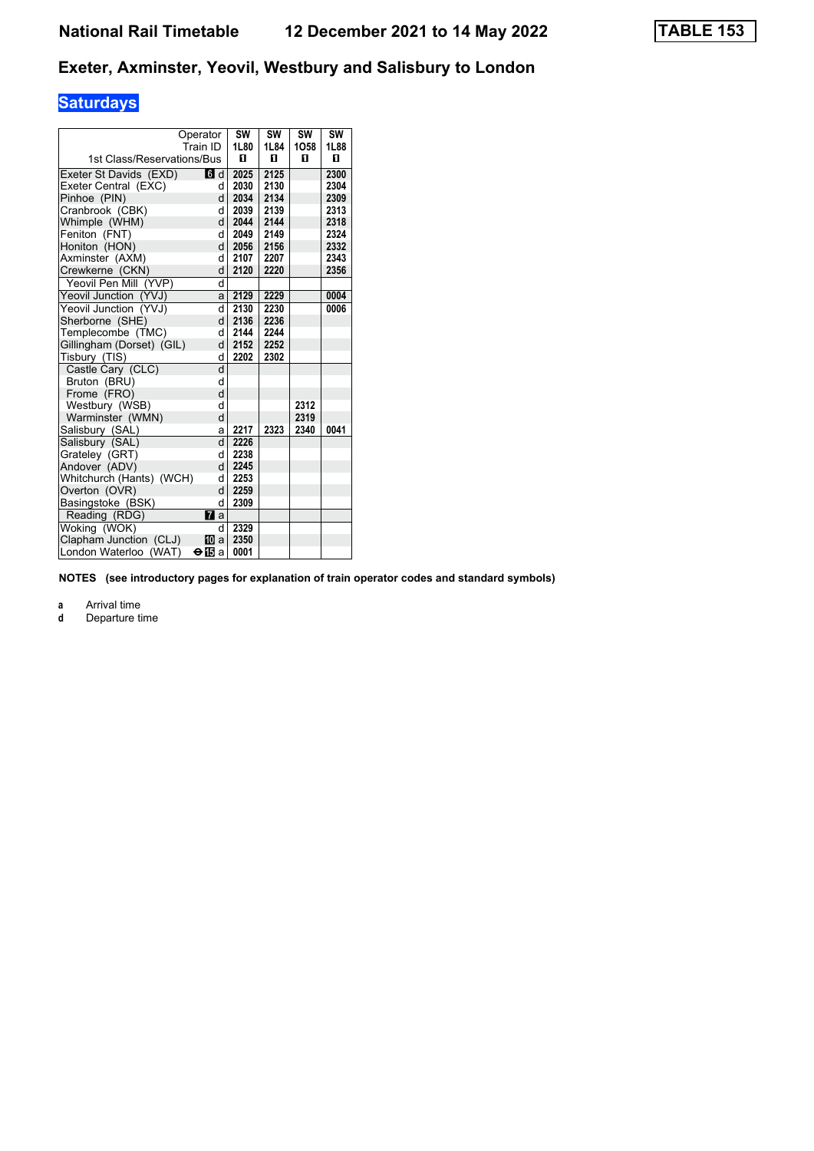# **Saturdays**

|                            | Operator       | SW   | SW   | SW   | SW   |
|----------------------------|----------------|------|------|------|------|
|                            | Train ID       | 1L80 | 1L84 | 1058 | 1L88 |
| 1st Class/Reservations/Bus |                | п    | п    | п    | п    |
| Exeter St Davids (EXD)     | 6d             | 2025 | 2125 |      | 2300 |
| Exeter Central (EXC)       | d              | 2030 | 2130 |      | 2304 |
| Pinhoe (PIN)               | d              | 2034 | 2134 |      | 2309 |
| Cranbrook (CBK)            | d              | 2039 | 2139 |      | 2313 |
| Whimple (WHM)              | d              | 2044 | 2144 |      | 2318 |
| Feniton (FNT)              | d              | 2049 | 2149 |      | 2324 |
| Honiton (HON)              | d              | 2056 | 2156 |      | 2332 |
| Axminster (AXM)            | d              | 2107 | 2207 |      | 2343 |
| Crewkerne (CKN)            | d              | 2120 | 2220 |      | 2356 |
| Yeovil Pen Mill (YVP)      | d              |      |      |      |      |
| Yeovil Junction (YVJ)      | a              | 2129 | 2229 |      | 0004 |
| Yeovil Junction (YVJ)      | d              | 2130 | 2230 |      | 0006 |
| Sherborne (SHE)            | $\mathsf{d}$   | 2136 | 2236 |      |      |
| Templecombe (TMC)          | d              | 2144 | 2244 |      |      |
| Gillingham (Dorset) (GIL)  | d              | 2152 | 2252 |      |      |
| Tisbury (TIS)              | d              | 2202 | 2302 |      |      |
| Castle Cary (CLC)          | d              |      |      |      |      |
| Bruton (BRU)               | d              |      |      |      |      |
| Frome (FRO)                | d              |      |      |      |      |
| Westbury (WSB)             | d              |      |      | 2312 |      |
| Warminster (WMN)           | d              |      |      | 2319 |      |
| Salisbury (SAL)            | a              | 2217 | 2323 | 2340 | 0041 |
| Salisbury (SAL)            | d              | 2226 |      |      |      |
| Grateley (GRT)             | d              | 2238 |      |      |      |
| Andover (ADV)              | d              | 2245 |      |      |      |
| Whitchurch (Hants) (WCH)   | d              | 2253 |      |      |      |
| Overton (OVR)              | d              | 2259 |      |      |      |
| Basingstoke (BSK)          | d              | 2309 |      |      |      |
| Reading (RDG)              | $\mathbf{z}$ a |      |      |      |      |
| Woking (WOK)               | d              | 2329 |      |      |      |
| Clapham Junction (CLJ)     | <b>M</b> a     | 2350 |      |      |      |
| London Waterloo (WAT)      | ⊖ll∃a          | 0001 |      |      |      |

**NOTES (see introductory pages for explanation of train operator codes and standard symbols)**

**a** Arrival time<br>**d** Departure t

**d** Departure time